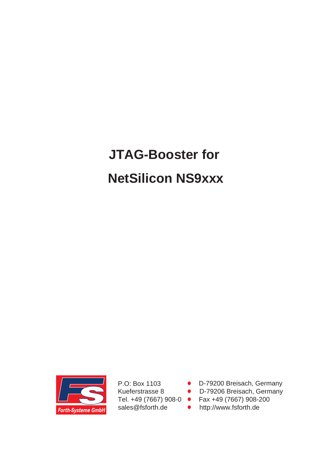# **JTAG-Booster for NetSilicon NS9xxx**



P.O: Box 1103 Kueferstrasse 8 Tel. +49 (7667) 908-0 sales@fsforth.de

- D-79200 Breisach, Germany
- D-79206 Breisach, Germany
- Fax +49 (7667) 908-200
- http://www.fsforth.de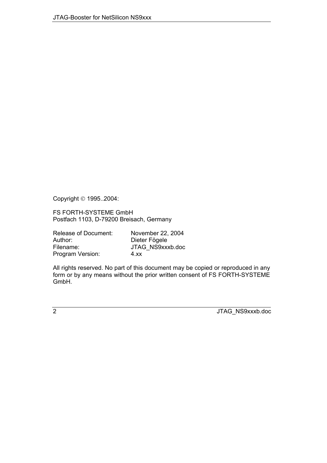Copyright © 1995..2004:

FS FORTH-SYSTEME GmbH Postfach 1103, D-79200 Breisach, Germany

| <b>Release of Document:</b> | November 22, 2004 |
|-----------------------------|-------------------|
| Author:                     | Dieter Fögele     |
| Filename:                   | JTAG NS9xxxb.doc  |
| Program Version:            | 4.xx              |

All rights reserved. No part of this document may be copied or reproduced in any form or by any means without the prior written consent of FS FORTH-SYSTEME GmbH.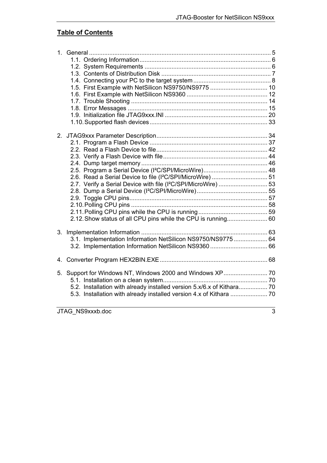# **Table of Contents**

| 2 <sub>1</sub> | 2.7. Verify a Serial Device with file (I <sup>2</sup> C/SPI/MicroWire) 53<br>2.12. Show status of all CPU pins while the CPU is running 60 |  |
|----------------|--------------------------------------------------------------------------------------------------------------------------------------------|--|
| 3.             | 3.1. Implementation Information NetSilicon NS9750/NS9775 64                                                                                |  |
| 4.             |                                                                                                                                            |  |
| 5.             | 5.2. Installation with already installed version 5.x/6.x of Kithara 70                                                                     |  |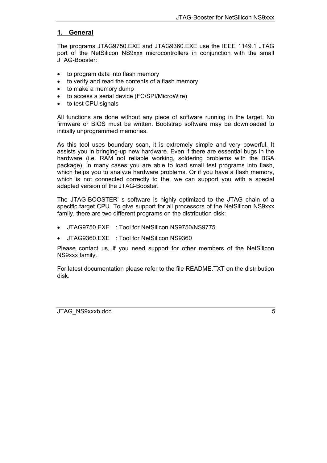# <span id="page-4-0"></span>**1. General**

The programs JTAG9750.EXE and JTAG9360.EXE use the IEEE 1149.1 JTAG port of the NetSilicon NS9xxx microcontrollers in conjunction with the small JTAG-Booster:

- to program data into flash memory
- to verify and read the contents of a flash memory
- to make a memory dump
- to access a serial device (I²C/SPI/MicroWire)
- to test CPU signals

All functions are done without any piece of software running in the target. No firmware or BIOS must be written. Bootstrap software may be downloaded to initially unprogrammed memories.

As this tool uses boundary scan, it is extremely simple and very powerful. It assists you in bringing-up new hardware. Even if there are essential bugs in the hardware (i.e. RAM not reliable working, soldering problems with the BGA package), in many cases you are able to load small test programs into flash, which helps you to analyze hardware problems. Or if you have a flash memory, which is not connected correctly to the, we can support you with a special adapted version of the JTAG-Booster.

The JTAG-BOOSTER' s software is highly optimized to the JTAG chain of a specific target CPU. To give support for all processors of the NetSilicon NS9xxx family, there are two different programs on the distribution disk:

- JTAG9750.EXE : Tool for NetSilicon NS9750/NS9775
- JTAG9360.EXE : Tool for NetSilicon NS9360

Please contact us, if you need support for other members of the NetSilicon NS9xxx family.

For latest documentation please refer to the file README.TXT on the distribution disk.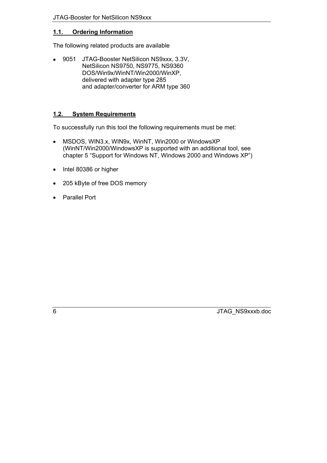# <span id="page-5-0"></span>**1.1. Ordering Information**

The following related products are available

• 9051 JTAG-Booster NetSilicon NS9xxx, 3.3V, NetSilicon NS9750, NS9775, NS9360 DOS/Win9x/WinNT/Win2000/WinXP, delivered with adapter type 285 and adapter/converter for ARM type 360

# <span id="page-5-1"></span>**1.2. System Requirements**

To successfully run this tool the following requirements must be met:

- MSDOS, WIN3.x, WIN9x, WinNT, Win2000 or WindowsXP (WinNT/Win2000/WindowsXP is supported with an additional tool, see chapter 5 "Support for Windows NT, Windows 2000 and Windows  $XP$ ")
- Intel 80386 or higher
- 205 kByte of free DOS memory
- Parallel Port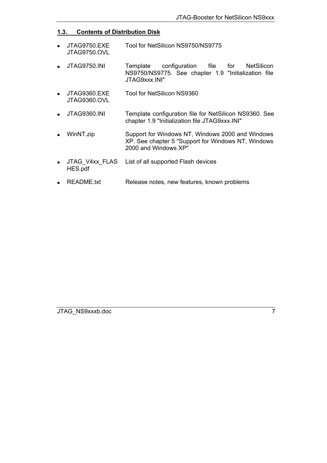# <span id="page-6-0"></span>**1.3. Contents of Distribution Disk**

- JTAG9750.EXE JTAG9750.OVL Tool for NetSilicon NS9750/NS9775
- JTAG9750.INI Template configuration file for NetSilicon NS9750/NS9775. See chapter [1.9](#page-19-0) ["Initialization file](#page-19-0) [JTAG9xxx.INI"](#page-19-0)
- JTAG9360.EXE JTAG9360.OVL Tool for NetSilicon NS9360
- JTAG9360.INI Template configuration file for NetSilicon NS9360. See chapter [1.9](#page-19-0) ["Initialization file JTAG9xxx.INI"](#page-19-0)
- WinNT.zip Support for Windows NT, Windows 2000 and Windows XP. See chapter [5](#page-69-0) ["Support for Windows NT, Windows](#page-69-0) [2000 and Windows XP"](#page-69-0)
- JTAG\_V4xx\_FLAS HES.pdf List of all supported Flash devices
- README.txt Release notes, new features, known problems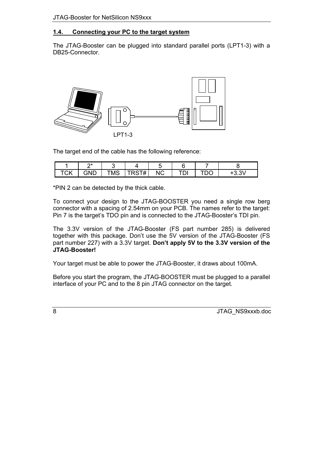# <span id="page-7-0"></span>**1.4. Connecting your PC to the target system**

The JTAG-Booster can be plugged into standard parallel ports (LPT1-3) with a DB25-Connector.



The target end of the cable has the following reference:

|    | ่า∗          |     |                                  |              |    |   |        |
|----|--------------|-----|----------------------------------|--------------|----|---|--------|
| ◡◠ | วNГ<br>. אול | TMS | . — п<br>T<br>$\boldsymbol{\pi}$ | $\sim$<br>ιν | וש | ◡ | $\sim$ |

\*PIN 2 can be detected by the thick cable.

To connect your design to the JTAG-BOOSTER you need a single row berg connector with a spacing of 2.54mm on your PCB. The names refer to the target: Pin 7 is the target's TDO pin and is connected to the JTAG-Booster's TDI pin.

The 3.3V version of the JTAG-Booster (FS part number 285) is delivered together with this package. Don't use the 5V version of the JTAG-Booster (FS part number 227) with a 3.3V target. **Don't apply 5V to the 3.3V version of the JTAG-Booster!**

Your target must be able to power the JTAG-Booster, it draws about 100mA.

Before you start the program, the JTAG-BOOSTER must be plugged to a parallel interface of your PC and to the 8 pin JTAG connector on the target.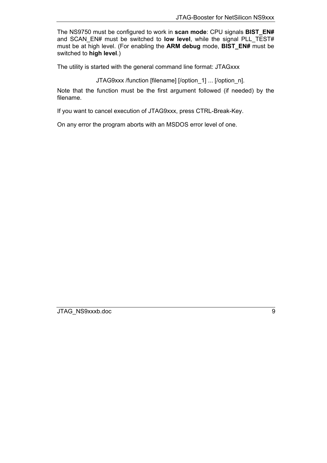The NS9750 must be configured to work in **scan mode**: CPU signals **BIST\_EN#** and SCAN\_EN# must be switched to **low level**, while the signal PLL\_TEST# must be at high level. (For enabling the **ARM debug** mode, **BIST\_EN#** must be switched to **high level**.)

The utility is started with the general command line format: JTAGxxx

JTAG9xxx /function [filename] [/option\_1] ... [/option\_n].

Note that the function must be the first argument followed (if needed) by the filename.

If you want to cancel execution of JTAG9xxx, press CTRL-Break-Key.

On any error the program aborts with an MSDOS error level of one.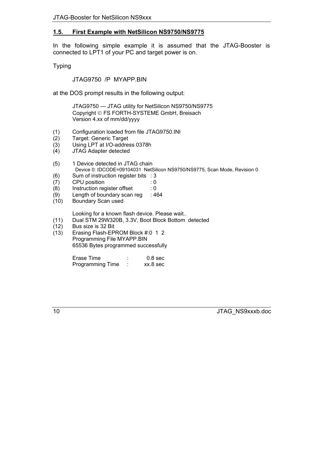# <span id="page-9-0"></span>**1.5. First Example with NetSilicon NS9750/NS9775**

In the following simple example it is assumed that the JTAG-Booster is connected to LPT1 of your PC and target power is on.

Typing

JTAG9750 /P MYAPP.BIN

at the DOS prompt results in the following output:

JTAG9750 --- JTAG utility for NetSilicon NS9750/NS9775 Copyright © FS FORTH-SYSTEME GmbH, Breisach Version 4.xx of mm/dd/yyyy

- (1) Configuration loaded from file JTAG9750.INI
- Target: Generic Target
- (3) Using LPT at I/O-address 0378h
- (4) JTAG Adapter detected
- (5) 1 Device detected in JTAG chain Device 0: IDCODE=09104031 NetSilicon NS9750/NS9775, Scan Mode, Revision 0
- (6) Sum of instruction register bits : 3
- (7) CPU position : 0
- (8) Instruction register offset : 0
- (9) Length of boundary scan reg : 464
- (10) Boundary Scan used

Looking for a known flash device. Please wait..

- (11) Dual STM 29W320B, 3.3V, Boot Block Bottom detected
- (12) Bus size is 32 Bit
- (13) Erasing Flash-EPROM Block #:0 1 2 Programming File MYAPP.BIN 65536 Bytes programmed successfully

| Erase Time              | 0.8 <sub>sec</sub> |
|-------------------------|--------------------|
| <b>Programming Time</b> | xx.8 sec           |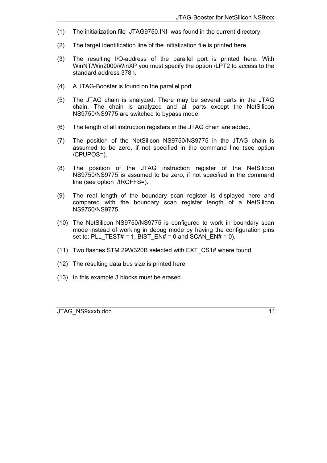- (1) The initialization file JTAG9750.INI was found in the current directory.
- (2) The target identification line of the initialization file is printed here.
- (3) The resulting I/O-address of the parallel port is printed here. With WinNT/Win2000/WinXP you must specify the option /LPT2 to access to the standard address 378h.
- (4) A JTAG-Booster is found on the parallel port
- (5) The JTAG chain is analyzed. There may be several parts in the JTAG chain. The chain is analyzed and all parts except the NetSilicon NS9750/NS9775 are switched to bypass mode.
- (6) The length of all instruction registers in the JTAG chain are added.
- (7) The position of the NetSilicon NS9750/NS9775 in the JTAG chain is assumed to be zero, if not specified in the command line (see option /CPUPOS=).
- (8) The position of the JTAG instruction register of the NetSilicon NS9750/NS9775 is assumed to be zero, if not specified in the command line (see option /IROFFS=).
- (9) The real length of the boundary scan register is displayed here and compared with the boundary scan register length of a NetSilicon NS9750/NS9775.
- (10) The NetSilicon NS9750/NS9775 is configured to work in boundary scan mode instead of working in debug mode by having the configuration pins set to: PLL\_TEST# = 1, BIST\_EN# = 0 and SCAN\_EN# = 0).
- (11) Two flashes STM 29W320B selected with EXT\_CS1# where found.
- (12) The resulting data bus size is printed here.
- (13) In this example 3 blocks must be erased.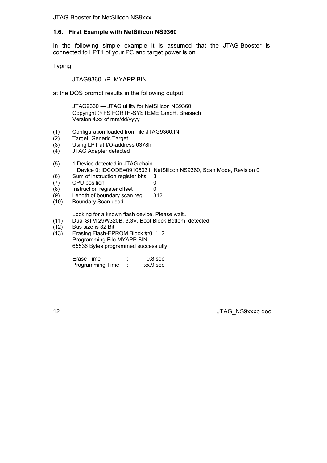# <span id="page-11-0"></span>**1.6. First Example with NetSilicon NS9360**

In the following simple example it is assumed that the JTAG-Booster is connected to LPT1 of your PC and target power is on.

Typing

JTAG9360 /P MYAPP.BIN

at the DOS prompt results in the following output:

JTAG9360 --- JTAG utility for NetSilicon NS9360 Copyright © FS FORTH-SYSTEME GmbH, Breisach Version 4.xx of mm/dd/yyyy

- (1) Configuration loaded from file JTAG9360.INI
- Target: Generic Target
- (3) Using LPT at I/O-address 0378h
- (4) JTAG Adapter detected
- (5) 1 Device detected in JTAG chain Device 0: IDCODE=09105031 NetSilicon NS9360, Scan Mode, Revision 0
- (6) Sum of instruction register bits : 3
- (7) CPU position : 0
- (8) Instruction register offset : 0
- (9) Length of boundary scan reg : 312
- (10) Boundary Scan used

Looking for a known flash device. Please wait..

- (11) Dual STM 29W320B, 3.3V, Boot Block Bottom detected
- (12) Bus size is 32 Bit
- (13) Erasing Flash-EPROM Block #:0 1 2 Programming File MYAPP.BIN 65536 Bytes programmed successfully

| Erase Time              | 0.8 <sub>sec</sub> |
|-------------------------|--------------------|
| <b>Programming Time</b> | xx.9 sec           |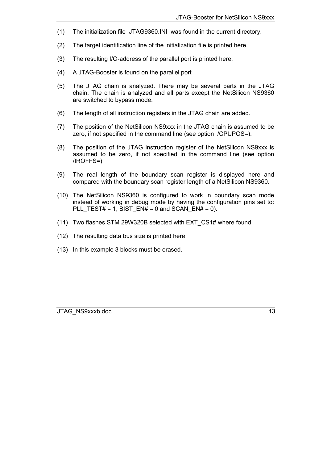- (1) The initialization file JTAG9360.INI was found in the current directory.
- (2) The target identification line of the initialization file is printed here.
- (3) The resulting I/O-address of the parallel port is printed here.
- (4) A JTAG-Booster is found on the parallel port
- (5) The JTAG chain is analyzed. There may be several parts in the JTAG chain. The chain is analyzed and all parts except the NetSilicon NS9360 are switched to bypass mode.
- (6) The length of all instruction registers in the JTAG chain are added.
- (7) The position of the NetSilicon NS9xxx in the JTAG chain is assumed to be zero, if not specified in the command line (see option /CPUPOS=).
- (8) The position of the JTAG instruction register of the NetSilicon NS9xxx is assumed to be zero, if not specified in the command line (see option /IROFFS=).
- (9) The real length of the boundary scan register is displayed here and compared with the boundary scan register length of a NetSilicon NS9360.
- (10) The NetSilicon NS9360 is configured to work in boundary scan mode instead of working in debug mode by having the configuration pins set to: PLL TEST# = 1, BIST EN# = 0 and SCAN EN# = 0).
- (11) Two flashes STM 29W320B selected with EXT\_CS1# where found.
- (12) The resulting data bus size is printed here.
- (13) In this example 3 blocks must be erased.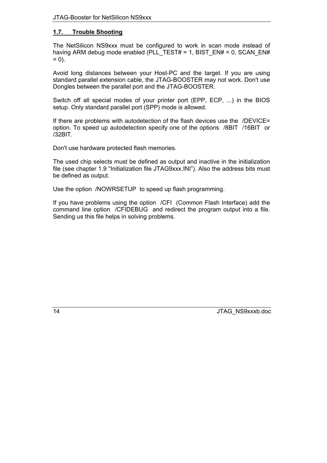# <span id="page-13-0"></span>**1.7. Trouble Shooting**

The NetSilicon NS9xxx must be configured to work in scan mode instead of having ARM debug mode enabled (PLL\_TEST# = 1, BIST\_EN# = 0, SCAN\_EN#  $= 0$ ).

Avoid long distances between your Host-PC and the target. If you are using standard parallel extension cable, the JTAG-BOOSTER may not work. Don't use Dongles between the parallel port and the JTAG-BOOSTER.

Switch off all special modes of your printer port (EPP, ECP, ...) in the BIOS setup. Only standard parallel port (SPP) mode is allowed.

If there are problems with autodetection of the flash devices use the /DEVICE= option. To speed up autodetection specify one of the options /8BIT /16BIT or /32BIT.

Don't use hardware protected flash memories.

The used chip selects must be defined as output and inactive in the initialization file (see chapte[r 1.9](#page-19-0) "Initialization file JTAG9xxx.INI"). Also the address bits must be defined as output.

Use the option /NOWRSETUP to speed up flash programming.

If you have problems using the option /CFI (Common Flash Interface) add the command line option /CFIDEBUG and redirect the program output into a file. Sending us this file helps in solving problems.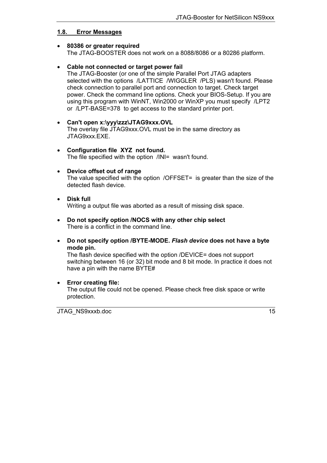# <span id="page-14-0"></span>**1.8. Error Messages**

#### • **80386 or greater required** The JTAG-BOOSTER does not work on a 8088/8086 or a 80286 platform.

# • **Cable not connected or target power fail**

The JTAG-Booster (or one of the simple Parallel Port JTAG adapters selected with the options /LATTICE /WIGGLER /PLS) wasn't found. Please check connection to parallel port and connection to target. Check target power. Check the command line options. Check your BIOS-Setup. If you are using this program with WinNT, Win2000 or WinXP you must specify /LPT2 or /LPT-BASE=378 to get access to the standard printer port.

- **Can't open x:\yyy\zzz\JTAG9xxx.OVL** The overlay file JTAG9xxx.OVL must be in the same directory as JTAG9xxx.EXE.
- **Configuration file XYZ not found.** The file specified with the option /INI= wasn't found.

# • **Device offset out of range**

The value specified with the option /OFFSET= is greater than the size of the detected flash device.

• **Disk full**

Writing a output file was aborted as a result of missing disk space.

- **Do not specify option /NOCS with any other chip select** There is a conflict in the command line.
- **Do not specify option /BYTE-MODE.** *Flash device* **does not have a byte mode pin.**

The flash device specified with the option /DEVICE= does not support switching between 16 (or 32) bit mode and 8 bit mode. In practice it does not have a pin with the name BYTE#

## • **Error creating file:**

The output file could not be opened. Please check free disk space or write protection.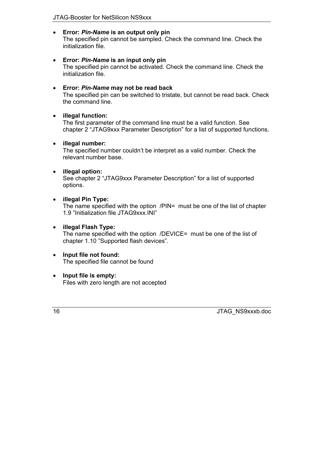## • **Error:** *Pin-Name* **is an output only pin**

The specified pin cannot be sampled. Check the command line. Check the initialization file.

• **Error:** *Pin-Name* **is an input only pin** The specified pin cannot be activated. Check the command line. Check the initialization file.

# • **Error:** *Pin-Name* **may not be read back**

The specified pin can be switched to tristate, but cannot be read back. Check the command line.

# • **illegal function:**

The first parameter of the command line must be a valid function. See chapter 2 "JTAG9xxx Parameter Description" for a list of supported functions.

# • **illegal number:**

The specified number couldn't be interpret as a valid number. Check the relevant number base.

# • **illegal option:**

See chapter 2 "JTAG9xxx Parameter Description" for a list of supported options.

# • **illegal Pin Type:**

The name specified with the option /PIN= must be one of the list of chapter [1.9](#page-19-0) "Initialization file JTAG9xxx.INI"

# • **illegal Flash Type:**

The name specified with the option /DEVICE= must be one of the list of chapter 1.10 "Supported flash devices".

## • **Input file not found:** The specified file cannot be found

• **Input file is empty:** Files with zero length are not accepted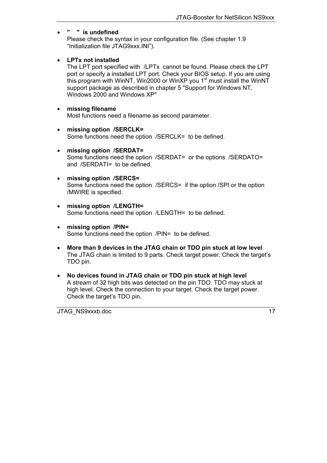# • **" " is undefined**

Please check the syntax in your configuration file. (See chapter [1.9](#page-19-0) "Initialization file JTAG9xxx.INI").

## • **LPTx not installed**

The LPT port specified with /LPTx cannot be found. Please check the LPT port or specify a installed LPT port. Check your BIOS setup. If you are using this program with WinNT, Win2000 or WinXP you  $1<sup>st</sup>$  must install the WinNT support package as described in chapter [5](#page-69-0) "Support for Windows NT. [Windows 2000 and Windows XP"](#page-69-0)

## • **missing filename**

Most functions need a filename as second parameter.

- **missing option /SERCLK=** Some functions need the option /SERCLK= to be defined.
- **missing option /SERDAT=** Some functions need the option /SERDAT= or the options /SERDATO= and /SERDATI= to be defined.
- **missing option /SERCS=** Some functions need the option /SERCS= if the option /SPI or the option /MWIRE is specified.
- **missing option /LENGTH=** Some functions need the option /LENGTH= to be defined.
- **missing option /PIN=** Some functions need the option /PIN= to be defined.
- **More than 9 devices in the JTAG chain or TDO pin stuck at low level** The JTAG chain is limited to 9 parts. Check target power. Check the target's TDO pin.
- **No devices found in JTAG chain or TDO pin stuck at high level** A stream of 32 high bits was detected on the pin TDO. TDO may stuck at high level. Check the connection to your target. Check the target power. Check the target's TDO pin.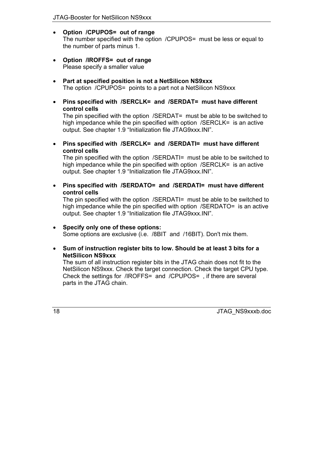- **Option /CPUPOS= out of range** The number specified with the option /CPUPOS= must be less or equal to the number of parts minus 1.
- **Option /IROFFS= out of range** Please specify a smaller value
- **Part at specified position is not a NetSilicon NS9xxx** The option /CPUPOS= points to a part not a NetSilicon NS9xxx
- **Pins specified with /SERCLK= and /SERDAT= must have different control cells**

The pin specified with the option /SERDAT= must be able to be switched to high impedance while the pin specified with option /SERCLK= is an active output. See chapter 1.9 "Initialization file JTAG9xxx.INI".

• **Pins specified with /SERCLK= and /SERDATI= must have different control cells**

The pin specified with the option /SERDATI= must be able to be switched to high impedance while the pin specified with option /SERCLK= is an active output. See chapter 1.9 "Initialization file JTAG9xxx.INI".

• **Pins specified with /SERDATO= and /SERDATI= must have different control cells**

The pin specified with the option /SERDATI= must be able to be switched to high impedance while the pin specified with option /SERDATO= is an active output. See chapter 1.9 "Initialization file JTAG9xxx.INI".

## • **Specify only one of these options:**

Some options are exclusive (i.e. /8BIT and /16BIT). Don't mix them.

• **Sum of instruction register bits to low. Should be at least 3 bits for a NetSilicon NS9xxx**

The sum of all instruction register bits in the JTAG chain does not fit to the NetSilicon NS9xxx. Check the target connection. Check the target CPU type. Check the settings for /IROFFS= and /CPUPOS= , if there are several parts in the JTAG chain.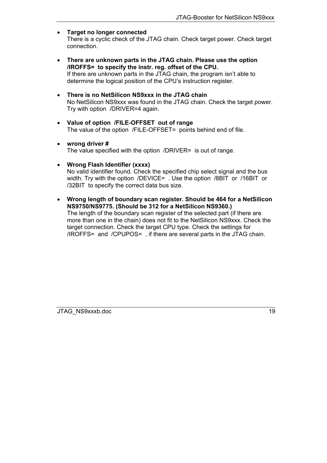## • **Target no longer connected**

There is a cyclic check of the JTAG chain. Check target power. Check target connection.

- **There are unknown parts in the JTAG chain. Please use the option /IROFFS= to specify the instr. reg. offset of the CPU.** If there are unknown parts in the JTAG chain, the program isnít able to determine the logical position of the CPU's instruction register.
- **There is no NetSilicon NS9xxx in the JTAG chain** No NetSilicon NS9xxx was found in the JTAG chain. Check the target power. Try with option /DRIVER=4 again.
- **Value of option /FILE-OFFSET out of range** The value of the option /FILE-OFFSET= points behind end of file.
- **wrong driver #** The value specified with the option /DRIVER= is out of range.
- **Wrong Flash Identifier (xxxx)**

No valid identifier found. Check the specified chip select signal and the bus width. Try with the option /DEVICE= . Use the option /8BIT or /16BIT or /32BIT to specify the correct data bus size.

• **Wrong length of boundary scan register. Should be 464 for a NetSilicon NS9750/NS9775. (Should be 312 for a NetSilicon NS9360.)** The length of the boundary scan register of the selected part (if there are more than one in the chain) does not fit to the NetSilicon NS9xxx. Check the target connection. Check the target CPU type. Check the settings for /IROFFS= and /CPUPOS= , if there are several parts in the JTAG chain.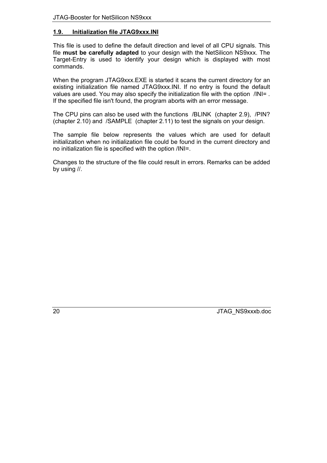# <span id="page-19-0"></span>**1.9. Initialization file JTAG9xxx.INI**

This file is used to define the default direction and level of all CPU signals. This file **must be carefully adapted** to your design with the NetSilicon NS9xxx. The Target-Entry is used to identify your design which is displayed with most commands.

When the program JTAG9xxx.EXE is started it scans the current directory for an existing initialization file named JTAG9xxx.INI. If no entry is found the default values are used. You may also specify the initialization file with the option /INI= . If the specified file isn't found, the program aborts with an error message.

The CPU pins can also be used with the functions /BLINK (chapter [2.9](#page-56-0)), /PIN? (chapter [2.10](#page-57-0)) and /SAMPLE (chapter [2.11\)](#page-58-0) to test the signals on your design.

The sample file below represents the values which are used for default initialization when no initialization file could be found in the current directory and no initialization file is specified with the option /INI=.

Changes to the structure of the file could result in errors. Remarks can be added by using //.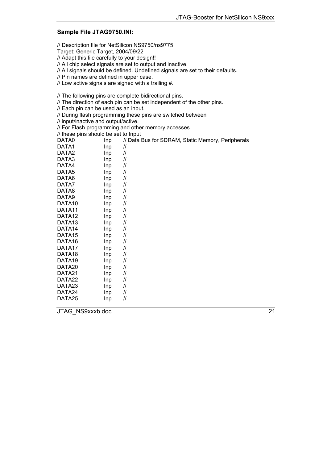## **Sample File JTAG9750.INI:**

// Description file for NetSilicon NS9750/ns9775

Target: Generic Target, 2004/09/22

// Adapt this file carefully to your design!!

// All chip select signals are set to output and inactive.

// All signals should be defined. Undefined signals are set to their defaults.

// Pin names are defined in upper case.

// Low active signals are signed with a trailing #.

// The following pins are complete bidirectional pins.

// The direction of each pin can be set independent of the other pins.

// Each pin can be used as an input.

// During flash programming these pins are switched between

// input/inactive and output/active.

// For Flash programming and other memory accesses

// these pins should be set to Input

| DATA0              | Inp | // Data Bus for SDRAM, Static Memory, Peripherals |
|--------------------|-----|---------------------------------------------------|
| DATA1              | Inp | 11                                                |
| DATA <sub>2</sub>  | Inp | $\ensuremath{\mathnormal{/\!/}}$                  |
| DATA3              | Inp | 11                                                |
| DATA4              | Inp | 11                                                |
| DATA5              | Inp | 11                                                |
| DATA6              | Inp | $\ensuremath{\mathnormal{II}}$                    |
| DATA7              | Inp | 11                                                |
| DATA8              | Inp | $\ensuremath{\mathnormal{/\!/}}$                  |
| DATA9              | Inp | 11                                                |
| DATA10             | Inp | $\ensuremath{\mathnormal{/\!/}}$                  |
| DATA <sub>11</sub> | Inp | 11                                                |
| DATA <sub>12</sub> | Inp | 11                                                |
| DATA <sub>13</sub> | Inp | $\ensuremath{\mathnormal{/\!/}}$                  |
| DATA <sub>14</sub> | Inp | $\ensuremath{\mathnormal{II}}$                    |
| DATA <sub>15</sub> | Inp | $\ensuremath{\mathnormal{II}}$                    |
| DATA <sub>16</sub> | Inp | $\ensuremath{\mathnormal{/\!/}}$                  |
| DATA17             | Inp | $\ensuremath{\mathnormal{/\!/}}$                  |
| DATA <sub>18</sub> | Inp | //                                                |
| DATA19             | Inp | 11                                                |
| DATA <sub>20</sub> | Inp | 11                                                |
| DATA21             | Inp | 11                                                |
| DATA22             | Inp | $\ensuremath{\mathnormal{II}}$                    |
| DATA <sub>23</sub> | Inp | $\ensuremath{\mathnormal{II}}$                    |
| DATA24             | Inp | 11                                                |
| DATA25             | Inp | 11                                                |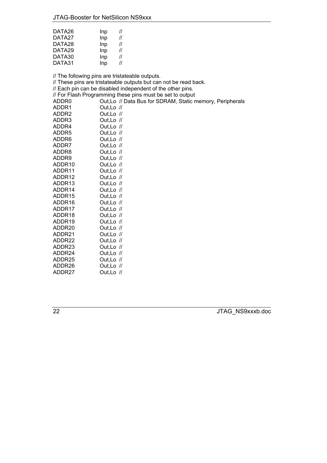| DATA26 | Inp | 11 |
|--------|-----|----|
| DATA27 | Inp | 11 |
| DATA28 | Inp | 11 |
| DATA29 | Inp | 11 |
| DATA30 | Inp | 11 |
| DATA31 | Inp | // |

// The following pins are tristateable outputs. // These pins are tristateable outputs but can not be read back. // Each pin can be disabled independent of the other pins. // For Flash Programming these pins must be set to output<br>ADDR0 Out.Lo // Data Bus for SDRAM. Static n Out,Lo // Data Bus for SDRAM, Static memory, Peripherals ADDR1 Out,Lo // ADDR2 Out,Lo // ADDR3 Out,Lo // ADDR4 Out,Lo // ADDR5 Out,Lo // ADDR6 Out,Lo // ADDR7 Out,Lo // ADDR8 Out,Lo //<br>ADDR9 Out,Lo // Out,Lo  $\sqrt{l}$ ADDR10 Out,Lo // ADDR11 Out,Lo // ADDR12 Out,Lo // ADDR13 Out,Lo // ADDR14 Out,Lo // ADDR15 Out,Lo //<br>ADDR16 Out.Lo // ADDR16 Out,Lo //<br>ADDR17 Out.Lo // Out,Lo  $\sqrt{l}$ ADDR18 Out,Lo // ADDR19 Out,Lo // ADDR20 Out,Lo // ADDR21 Out,Lo // ADDR22 Out,Lo // ADDR23 Out,Lo // ADDR24 Out,Lo // ADDR25 Out,Lo // ADDR26 Out,Lo //

ADDR27 Out,Lo //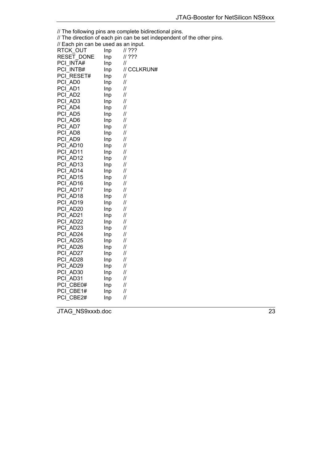| // The following pins are complete bidirectional pins. |     |                                                                        |  |
|--------------------------------------------------------|-----|------------------------------------------------------------------------|--|
|                                                        |     | // The direction of each pin can be set independent of the other pins. |  |
| // Each pin can be used as an input.                   |     |                                                                        |  |
| RTCK_OUT                                               | Inp | ???                                                                    |  |
| RESET_DONE                                             | Inp | 11.222                                                                 |  |
| PCI INTA#                                              | Inp | $^{\prime\prime}$                                                      |  |
| PCI INTB#                                              | Inp | // CCLKRUN#                                                            |  |
| PCI RESET#                                             | Inp | $^{\prime\prime}$                                                      |  |
| PCI AD0                                                | Inp | 11                                                                     |  |
| PCI AD1                                                | Inp | 11                                                                     |  |
| PCI AD2                                                | Inp | $^{\prime\prime}$                                                      |  |
| PCI_AD3                                                | Inp | $^{\prime\prime}$                                                      |  |
| PCI_AD4                                                | Inp | $\ensuremath{\mathnormal{II}}$                                         |  |
| PCI AD5                                                | Inp | $\ensuremath{\mathnormal{II}}$                                         |  |
| PCI AD6                                                | Inp | $^{\prime\prime}$                                                      |  |
| PCI AD7                                                | Inp | $^{\prime\prime}$                                                      |  |
| PCI_AD8                                                | Inp | 11                                                                     |  |
| PCI AD9                                                | Inp | $\mathcal{U}$                                                          |  |
| PCI AD10                                               | Inp | $^{\prime\prime}$                                                      |  |
| PCI AD11                                               | Inp | $\ensuremath{\mathnormal{/\!/}}$                                       |  |
| PCI AD12                                               | Inp | $^{\prime\prime}$                                                      |  |
| PCI AD13                                               | Inp | $\mathcal{U}$                                                          |  |
| PCI AD14                                               | Inp | $\mathcal{U}$                                                          |  |
| PCI AD15                                               | Inp | $\mathcal{U}$                                                          |  |
| PCI AD16                                               | Inp | $\ensuremath{\mathnormal{/\!/}}$                                       |  |
| PCI AD17                                               | Inp | $^{\prime\prime}$                                                      |  |
| PCI AD18                                               | Inp | $\ensuremath{\mathnormal{II}}$                                         |  |
| PCI AD19                                               | Inp | $\ensuremath{\mathnormal{II}}$                                         |  |
| PCI AD20                                               | Inp | 11                                                                     |  |
| PCI AD21                                               | Inp | $^{\prime\prime}$                                                      |  |
| PCI_AD22                                               | Inp | $\mathcal{U}$                                                          |  |
| PCI AD23                                               | Inp | $^{\prime\prime}$                                                      |  |
| PCI AD24                                               | Inp | 11                                                                     |  |
| PCI AD25                                               | Inp | $\ensuremath{\mathnormal{/\!/}}$                                       |  |
| PCI AD26                                               | Inp | 11                                                                     |  |
| PCI_AD27                                               | Inp | 11                                                                     |  |
| PCI AD28                                               | Inp | 11                                                                     |  |
| PCI AD29                                               | Inp | 11                                                                     |  |
| PCI AD30                                               | Inp | $\ensuremath{\mathnormal{/\!/}}$                                       |  |
| PCI AD31                                               | Inp | $^{\prime\prime}$                                                      |  |
| PCI CBE0#                                              | Inp | $\ensuremath{\mathnormal{II}}$                                         |  |
| PCI CBE1#                                              | Inp | $\ensuremath{\mathnormal{II}}$                                         |  |

JTAG\_NS9xxxb.doc 23

PCI\_CBE2# Inp //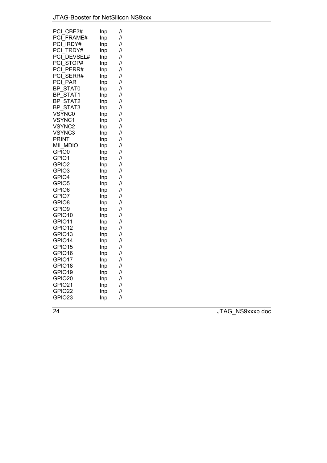|     | 11                                                                                                                                                                                                             |
|-----|----------------------------------------------------------------------------------------------------------------------------------------------------------------------------------------------------------------|
|     | 11                                                                                                                                                                                                             |
|     | 11                                                                                                                                                                                                             |
|     | $\mathcal{U}$                                                                                                                                                                                                  |
| Inp | $\mathcal{U}$                                                                                                                                                                                                  |
|     | $\ensuremath{\mathnormal{II}}$                                                                                                                                                                                 |
| Inp | $\mathcal{U}$                                                                                                                                                                                                  |
| Inp | 11                                                                                                                                                                                                             |
| Inp | $\ensuremath{\mathnormal{II}}$                                                                                                                                                                                 |
| Inp | 11                                                                                                                                                                                                             |
| Inp | $\mathcal{U}$                                                                                                                                                                                                  |
| Inp | $\mathcal{U}$                                                                                                                                                                                                  |
| Inp | 11                                                                                                                                                                                                             |
| Inp | 11                                                                                                                                                                                                             |
|     | 11                                                                                                                                                                                                             |
|     | 11                                                                                                                                                                                                             |
|     | $\mathcal{U}$                                                                                                                                                                                                  |
| Inp | $\mathcal{U}$                                                                                                                                                                                                  |
|     | 11                                                                                                                                                                                                             |
|     | 11                                                                                                                                                                                                             |
|     | $\mathcal{U}$                                                                                                                                                                                                  |
|     | 11                                                                                                                                                                                                             |
|     | 11                                                                                                                                                                                                             |
|     | 11                                                                                                                                                                                                             |
|     | 11                                                                                                                                                                                                             |
|     | $\mathcal{U}$                                                                                                                                                                                                  |
|     | 11<br>11                                                                                                                                                                                                       |
|     | 11                                                                                                                                                                                                             |
|     | $\mathcal{U}$                                                                                                                                                                                                  |
|     | 11                                                                                                                                                                                                             |
|     | $\mathcal{U}$                                                                                                                                                                                                  |
|     | $\mathcal{U}$                                                                                                                                                                                                  |
|     | 11                                                                                                                                                                                                             |
|     | //                                                                                                                                                                                                             |
|     | $\mathcal{U}$                                                                                                                                                                                                  |
|     | $\mathcal{U}$                                                                                                                                                                                                  |
|     | $\ensuremath{\mathnormal{II}}$                                                                                                                                                                                 |
| Inp | $\mathcal{U}$                                                                                                                                                                                                  |
| Inp | $\mathcal{U}$                                                                                                                                                                                                  |
|     | $\mathcal{U}$                                                                                                                                                                                                  |
|     | 11                                                                                                                                                                                                             |
| Inp | $\mathcal{U}$                                                                                                                                                                                                  |
|     | Inp<br>Inp<br>Inp<br>Inp<br>Inp<br>Inp<br>Inp<br>Inp<br>Inp<br>Inp<br>Inp<br>Inp<br>Inp<br>Inp<br>Inp<br>Inp<br>Inp<br>Inp<br>Inp<br>Inp<br>Inp<br>Inp<br>Inp<br>Inp<br>Inp<br>Inp<br>Inp<br>Inp<br>Inp<br>Inp |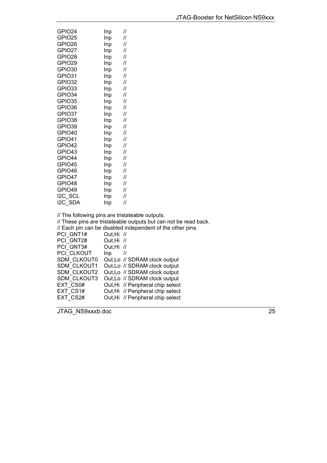| GPIO24                             | Inp | 11                |
|------------------------------------|-----|-------------------|
| GPIO25                             | Inp | //                |
| GPIO26                             | Inp | 11                |
| GPIO27                             | Inp | 11                |
| GPIO28                             | Inp | //                |
| GPIO29                             | Inp | //                |
| GPIO30                             | Inp | 11                |
| GPIO31                             | Inp | 11                |
| GPIO32                             | Inp | //                |
| GPIO33                             | Inp | //                |
| GPIO34                             | Inp | 11                |
| GPIO35                             | Inp | 11                |
| GPIO36                             | Inp | 11                |
| GPIO37                             | Inp | 11                |
| GPIO38                             | Inp | //                |
| GPIO39                             | Inp | 11                |
| GPIO40                             | Inp | //                |
| GPIO41                             | Inp | 11                |
| GPIO42                             | Inp | 11                |
| GPIO43                             | Inp | 11                |
| GPIO44                             | Inp | //                |
| GPIO45                             | Inp | $^{\prime\prime}$ |
| GPIO46                             | Inp | 11                |
| GPIO47                             | Inp | 11                |
| GPIO48                             | Inp | //                |
| GPIO49                             | Inp | 11                |
| I2C SCL                            | Inp | //                |
| I2C SDA                            | Inp | 11                |
| Il Tho following pine are trietate |     |                   |

// The following pins are tristateable outputs.

// These pins are tristateable outputs but can not be read back.

// Each pin can be disabled independent of the other pins.

| PCI GNT1#          | Out, Hi //                        |
|--------------------|-----------------------------------|
| PCI GNT2#          | Out, Hi //                        |
| PCI GNT3#          | Out, Hi //                        |
| PCI CLKOUT         | Inp<br>11                         |
| SDM CLKOUT0        | Out, Lo // SDRAM clock output     |
| SDM CLKOUT1        | Out, Lo // SDRAM clock output     |
| SDM CLKOUT2        | Out, Lo // SDRAM clock output     |
| <b>SDM CLKOUT3</b> | Out, Lo // SDRAM clock output     |
| EXT CS0#           | Out, Hi // Peripheral chip select |
| EXT CS1#           | Out, Hi // Peripheral chip select |
| EXT CS2#           | Out, Hi // Peripheral chip select |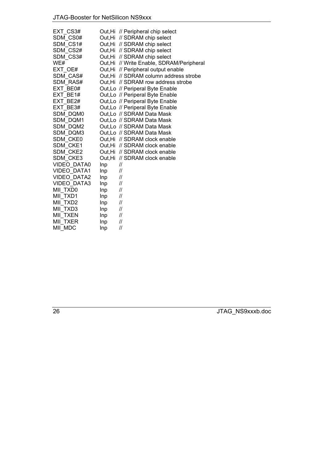# JTAG-Booster for NetSilicon NS9xxx

| EXT CS3#           |     | Out, Hi // Peripheral chip select         |
|--------------------|-----|-------------------------------------------|
| SDM CS0#           |     | Out, Hi // SDRAM chip select              |
| SDM CS1#           |     | Out, Hi // SDRAM chip select              |
| SDM CS2#           |     | Out, Hi // SDRAM chip select              |
| SDM CS3#           |     | Out, Hi // SDRAM chip select              |
| WE#                |     | Out, Hi // Write Enable, SDRAM/Peripheral |
| EXT OE#            |     | Out, Hi // Peripheral output enable       |
| SDM CAS#           |     | Out, Hi // SDRAM column address strobe    |
| SDM RAS#           |     | Out.Hi // SDRAM row address strobe        |
| EXT BE0#           |     | Out, Lo // Periperal Byte Enable          |
| EXT BE1#           |     | Out, Lo // Periperal Byte Enable          |
| EXT BE2#           |     | Out, Lo // Periperal Byte Enable          |
| EXT BE3#           |     | Out, Lo // Periperal Byte Enable          |
| SDM DQM0           |     | Out, Lo // SDRAM Data Mask                |
| SDM DQM1           |     | Out, Lo // SDRAM Data Mask                |
| SDM DQM2           |     | Out, Lo // SDRAM Data Mask                |
| SDM DQM3           |     | Out, Lo // SDRAM Data Mask                |
| <b>SDM CKE0</b>    |     | Out, Hi // SDRAM clock enable             |
| SDM CKE1           |     | Out, Hi // SDRAM clock enable             |
| SDM CKE2           |     | Out, Hi // SDRAM clock enable             |
| SDM CKE3           |     | Out, Hi // SDRAM clock enable             |
| <b>VIDEO DATA0</b> | Inp | $^{\prime\prime}$                         |
| VIDEO_DATA1        | Inp | $^{\prime\prime}$                         |
| <b>VIDEO DATA2</b> | Inp | $\prime\prime$                            |
| <b>VIDEO DATA3</b> | Inp | $^{\prime\prime}$                         |
| MII TXD0           | Inp | $\prime\prime$                            |
| MII TXD1           | Inp | $^{\prime\prime}$                         |
| MII TXD2           | Inp | $^{\prime\prime}$                         |
| MII TXD3           | Inp | $^{\prime\prime}$                         |
| MII TXEN           | Inp | $^{\prime\prime}$                         |
| <b>MII TXER</b>    | Inp | 11                                        |
| MII MDC            | Inp | 11                                        |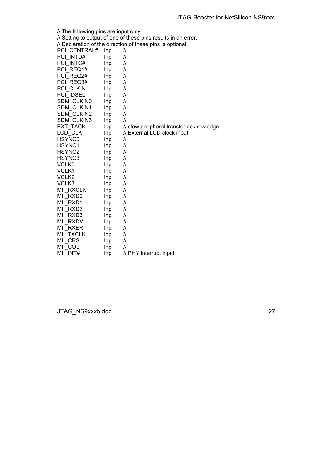| // The following pins are input only. |                                                            |                                                                |  |  |  |  |
|---------------------------------------|------------------------------------------------------------|----------------------------------------------------------------|--|--|--|--|
|                                       |                                                            | // Setting to output of one of these pins results in an error. |  |  |  |  |
|                                       | // Declaration of the direction of these pins is optional. |                                                                |  |  |  |  |
| PCI CENTRAL#                          | Inp                                                        | $^{\prime\prime}$                                              |  |  |  |  |
| PCI INTD#                             | Inp                                                        | $^{\prime\prime}$                                              |  |  |  |  |
| PCI INTC#                             | Inp                                                        | $^{\prime\prime}$                                              |  |  |  |  |
| PCI REQ1#                             | Inp                                                        | $^{\prime\prime}$                                              |  |  |  |  |
| PCI REQ2#                             | Inp                                                        | $^{\prime\prime}$                                              |  |  |  |  |
| PCI REQ3#                             | Inp                                                        | $^{\prime\prime}$                                              |  |  |  |  |
| PCI CLKIN                             | Inp                                                        | $\mathcal{U}$                                                  |  |  |  |  |
| PCI IDSEL                             | Inp                                                        | $\prime$                                                       |  |  |  |  |
| <b>SDM CLKIN0</b>                     | Inp                                                        | $\mathcal{U}$                                                  |  |  |  |  |
| <b>SDM CLKIN1</b>                     | Inp                                                        | $\mathcal{U}$                                                  |  |  |  |  |
| <b>SDM CLKIN2</b>                     | Inp                                                        | $\mathcal{U}$                                                  |  |  |  |  |
| SDM_CLKIN3                            | Inp                                                        | $\mathcal{U}$                                                  |  |  |  |  |
| EXT_TACK                              | Inp                                                        | // slow peripheral transfer acknowledge                        |  |  |  |  |
| LCD CLK                               | Inp                                                        | // External LCD clock input                                    |  |  |  |  |
| <b>HSYNC0</b>                         | Inp                                                        | $\prime$                                                       |  |  |  |  |
| HSYNC1                                | Inp                                                        | $\prime$                                                       |  |  |  |  |
| HSYNC2                                | Inp                                                        | $^{\prime\prime}$                                              |  |  |  |  |
| HSYNC3                                | Inp                                                        | $^{\prime\prime}$                                              |  |  |  |  |
| <b>VCLK0</b>                          | Inp                                                        | $^{\prime\prime}$                                              |  |  |  |  |
| VCLK1                                 | Inp                                                        | $^{\prime\prime}$                                              |  |  |  |  |
| VCLK2                                 | Inp                                                        | $^{\prime\prime}$                                              |  |  |  |  |
| VCLK3                                 | Inp                                                        | $\prime$                                                       |  |  |  |  |
| MII RXCLK                             | Inp                                                        | $\prime$                                                       |  |  |  |  |
| MII RXD0                              | Inp                                                        | $^{\prime\prime}$                                              |  |  |  |  |
| MII RXD1                              | Inp                                                        | $^{\prime\prime}$                                              |  |  |  |  |
| MII RXD2                              | Inp                                                        | $^{\prime\prime}$                                              |  |  |  |  |
| MII RXD3                              | Inp                                                        | $^{\prime\prime}$                                              |  |  |  |  |
| <b>MII RXDV</b>                       | Inp                                                        | $^{\prime\prime}$                                              |  |  |  |  |
| <b>MII RXER</b>                       | Inp                                                        | $\prime$                                                       |  |  |  |  |
| MII_TXCLK                             | Inp                                                        | 11                                                             |  |  |  |  |
| MII CRS                               | Inp                                                        | 11                                                             |  |  |  |  |
| MII COL                               | Inp                                                        | $\prime$                                                       |  |  |  |  |
| MII INT#                              | Inp                                                        | // PHY interrupt input                                         |  |  |  |  |
|                                       |                                                            |                                                                |  |  |  |  |

JTAG\_NS9xxxb.doc 27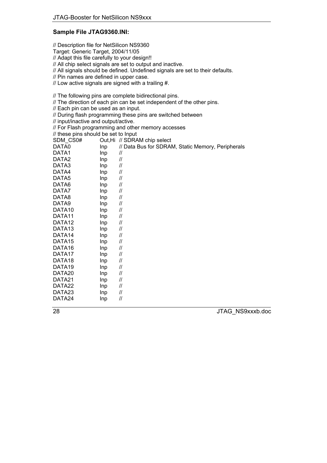# **Sample File JTAG9360.INI:**

// Description file for NetSilicon NS9360

Target: Generic Target, 2004/11/05

// Adapt this file carefully to your design!!

// All chip select signals are set to output and inactive.

// All signals should be defined. Undefined signals are set to their defaults.

// Pin names are defined in upper case.

// Low active signals are signed with a trailing #.

// The following pins are complete bidirectional pins.

// The direction of each pin can be set independent of the other pins.

// Each pin can be used as an input.

// During flash programming these pins are switched between

// input/inactive and output/active.

// For Flash programming and other memory accesses

// these pins should be set to Input

| SDM CS0#           |     | Out, Hi // SDRAM chip select                      |
|--------------------|-----|---------------------------------------------------|
| DATA0              | Inp | // Data Bus for SDRAM, Static Memory, Peripherals |
| DATA1              | Inp | $^{\prime\prime}$                                 |
| DATA <sub>2</sub>  | Inp | $\ensuremath{\mathnormal{II}}$                    |
| DATA3              | Inp | 11                                                |
| DATA4              | Inp | 11                                                |
| DATA5              | Inp | $^{\prime\prime}$                                 |
| DATA6              | Inp | 11                                                |
| DATA7              | Inp | $^{\prime\prime}$                                 |
| DATA8              | Inp | $^{\prime\prime}$                                 |
| DATA9              | Inp | $^{\prime\prime}$                                 |
| DATA10             | Inp | $^{\prime\prime}$                                 |
| DATA11             | Inp | 11                                                |
| DATA <sub>12</sub> | Inp | $^{\prime\prime}$                                 |
| DATA <sub>13</sub> | Inp | 11                                                |
| DATA14             | Inp | $^{\prime\prime}$                                 |
| DATA <sub>15</sub> | Inp | 11                                                |
| DATA <sub>16</sub> | Inp | $^{\prime\prime}$                                 |
| DATA17             | Inp | $^{\prime\prime}$                                 |
| DATA <sub>18</sub> | Inp | 11                                                |
| DATA <sub>19</sub> | Inp | 11                                                |
| DATA <sub>20</sub> | Inp | 11                                                |
| DATA21             | Inp | 11                                                |
| DATA22             | Inp | 11                                                |
| DATA23             | Inp | $^{\prime\prime}$                                 |
| DATA24             | Inp | $\mathcal{U}$                                     |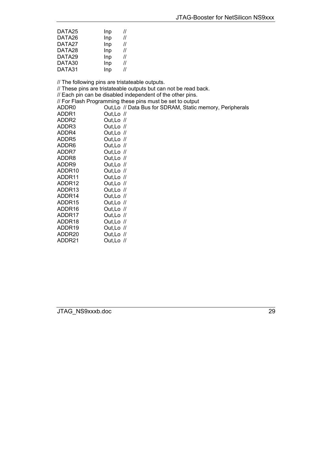| DATA25 | Inp | $^{\prime\prime}$ |
|--------|-----|-------------------|
| DATA26 | Inp | $^{\prime\prime}$ |
| DATA27 | Inp | $^{\prime\prime}$ |
| DATA28 | Inp | $^{\prime\prime}$ |
| DATA29 | Inp | $^{\prime\prime}$ |
| DATA30 | Inp | $^{\prime\prime}$ |
| DATA31 | Inp | $^{\prime\prime}$ |

// The following pins are tristateable outputs.

// These pins are tristateable outputs but can not be read back. // Each pin can be disabled independent of the other pins. // For Flash Programming these pins must be set to output ADDR0 Out,Lo // Data Bus for SDRAM, Static memory, Peripherals ADDR1 Out,Lo // ADDR2 Out,Lo // ADDR3 Out,Lo // ADDR4 Out,Lo // ADDR5 Out,Lo // ADDR6 Out,Lo // ADDR7 Out,Lo // ADDR8 Out,Lo // ADDR9 Out,Lo // ADDR10 Out,Lo // ADDR11 Out,Lo // ADDR12 Out,Lo // ADDR13 Out,Lo // ADDR14 Out,Lo //<br>ADDR15 Out,Lo // Out,Lo  $\sqrt{l}$ ADDR16 Out,Lo // ADDR17 Out,Lo // ADDR18 Out,Lo // ADDR19 Out,Lo // ADDR20 Out,Lo // ADDR21 Out,Lo //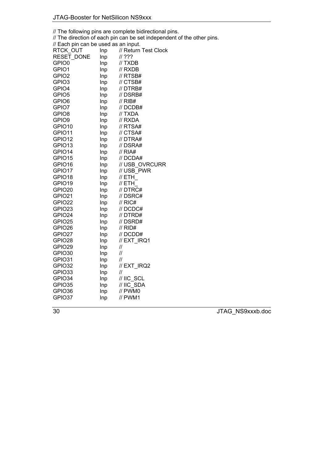// The following pins are complete bidirectional pins.

// The direction of each pin can be set independent of the other pins.

| // Each pin can be used as an input. |     |                      |
|--------------------------------------|-----|----------------------|
| RTCK OUT                             | Inp | // Return Test Clock |
| RESET DONE                           | Inp | ???                  |
| GPIO0                                | Inp | // TXDB              |
| GPIO1                                | Inp | // RXDB              |
| GPIO <sub>2</sub>                    | Inp | // RTSB#             |
| GPIO3                                | Inp | $\textit{//}$ CTSB#  |
| GPIO4                                | Inp | // DTRB#             |
| GPIO5                                | Inp | // DSRB#             |
| GPIO6                                | Inp | // RIB#              |
| GPIO7                                | Inp | // DCDB#             |
| GPIO8                                | Inp | // TXDA              |
| GPIO9                                | Inp | // RXDA              |
| GPIO10                               | Inp | // RTSA#             |
| GPIO11                               | Inp | // CTSA#             |
| GPIO12                               | Inp | // DTRA#             |
| GPIO13                               | Inp | // DSRA#             |
| GPIO14                               | Inp | // RIA#              |
| GPIO15                               | Inp | // DCDA#             |
| GPIO16                               | Inp | // USB OVRCURR       |
| GPIO17                               | Inp | // USB PWR           |
| GPIO18                               | Inp | // ETH               |
| GPIO19                               | Inp | // ETH               |
| GPIO20                               | Inp | // DTRC#             |
| GPIO21                               | Inp | // DSRC#             |
| GPIO22                               | Inp | $\frac{\pi}{6}$ RIC# |
| GPIO23                               | Inp | // DCDC#             |
| GPIO24                               | Inp | $\prime\prime$ DTRD# |
| GPIO25                               | Inp | // DSRD#             |
| GPIO26                               | Inp | // RID#              |
| GPIO27                               | Inp | // DCDD#             |
| GPIO28                               | Inp | // EXT IRQ1          |
| GPIO29                               | Inp | //                   |
| GPIO30                               | Inp | 11                   |
| GPIO31                               | Inp | 11                   |
| GPIO32                               | Inp | // EXT_IRQ2          |
| GPIO33                               | Inp | $^{\prime\prime}$    |
| GPIO34                               | Inp | // IIC SCL           |
| GPIO35                               | Inp | // IIC_SDA           |
| GPIO36                               | Inp | // PWM0              |
| GPIO37                               | Inp | // PWM1              |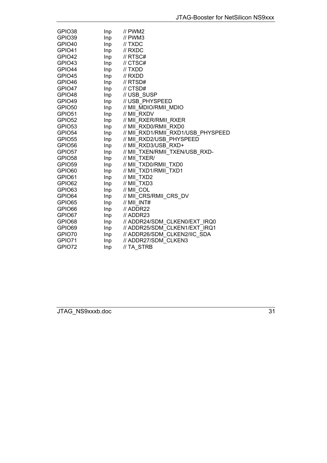| GPIO38             | Inp | // PWM2                               |
|--------------------|-----|---------------------------------------|
| GPIO39             | Inp | $\frac{\textit{II}}{\textit{I}}$ PWM3 |
| GPIO40             | Inp | // TXDC                               |
| GPIO41             | Inp | $\textit{II}$ RXDC                    |
| GPIO42             | Inp | $\textit{//}$ RTSC#                   |
| GPIO43             | Inp | // CTSC#                              |
| GPIO44             | Inp | // TXDD                               |
| GPIO45             | Inp | // RXDD                               |
| GPIO46             | Inp | // RTSD#                              |
| GPIO47             | Inp | // CTSD#                              |
| GPIO48             | Inp | // USB SUSP                           |
| GPIO49             | Inp | // USB_PHYSPEED                       |
| GPIO50             | Inp | // MII MDIO/RMII MDIO                 |
| GPIO51             | Inp | // MII RXDV                           |
| GPIO <sub>52</sub> | Inp | // MII RXER/RMII RXER                 |
| GPIO53             | Inp | // MII RXD0/RMII RXD0                 |
| GPIO <sub>54</sub> | Inp | // MII RXD1/RMII RXD1/USB PHYSPEED    |
| GPIO <sub>55</sub> | Inp | // MII RXD2/USB PHYSPEED              |
| GPIO56             | Inp | // MII RXD3/USB RXD+                  |
| GPIO57             | Inp | // MII TXEN/RMII TXEN/USB RXD-        |
| GPIO58             | Inp | // MII TXER/                          |
| GPIO59             | Inp | // MII_TXD0/RMII_TXD0                 |
| GPIO60             | Inp | // MII_TXD1/RMII_TXD1                 |
| GPIO61             | Inp | // MII TXD2                           |
| GPIO62             | Inp | // MII TXD3                           |
| GPIO63             | Inp | // MII COL                            |
| GPIO64             | Inp | // MII CRS/RMII CRS DV                |
| GPIO65             | Inp | $//$ MII $INT#$                       |
| GPIO66             | Inp | // ADDR22                             |
| GPIO67             | Inp | // ADDR23                             |
| GPIO68             | Inp | // ADDR24/SDM CLKEN0/EXT IRQ0         |
| GPIO69             | Inp | // ADDR25/SDM_CLKEN1/EXT_IRQ1         |
| GPIO70             | Inp | // ADDR26/SDM CLKEN2/IIC SDA          |
| GPIO71             | Inp | // ADDR27/SDM CLKEN3                  |
| GPIO72             | Inp | // TA_STRB                            |
|                    |     |                                       |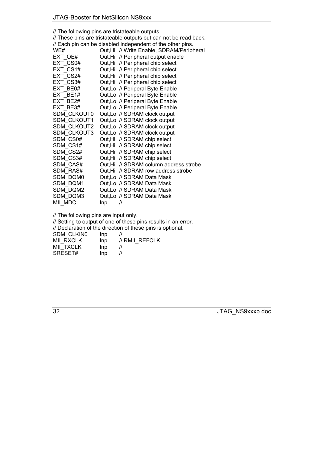| // The following pins are tristateable outputs.  |     |                                                                  |  |  |  |  |
|--------------------------------------------------|-----|------------------------------------------------------------------|--|--|--|--|
|                                                  |     | // These pins are tristateable outputs but can not be read back. |  |  |  |  |
|                                                  |     | // Each pin can be disabled independent of the other pins.       |  |  |  |  |
| WE#<br>Out, Hi // Write Enable, SDRAM/Peripheral |     |                                                                  |  |  |  |  |
| EXT OE#                                          |     | Out, Hi // Peripheral output enable                              |  |  |  |  |
| EXT CS0#                                         |     | Out, Hi // Peripheral chip select                                |  |  |  |  |
| EXT CS1#                                         |     | Out, Hi // Peripheral chip select                                |  |  |  |  |
| EXT CS2#                                         |     | Out, Hi // Peripheral chip select                                |  |  |  |  |
| EXT CS3#                                         |     | Out, Hi // Peripheral chip select                                |  |  |  |  |
| EXT BE0#                                         |     | Out, Lo // Periperal Byte Enable                                 |  |  |  |  |
| EXT BE1#                                         |     | Out, Lo // Periperal Byte Enable                                 |  |  |  |  |
| EXT BE2#                                         |     | Out, Lo // Periperal Byte Enable                                 |  |  |  |  |
| EXT BE3#                                         |     | Out, Lo // Periperal Byte Enable                                 |  |  |  |  |
| <b>SDM CLKOUT0</b>                               |     | Out, Lo // SDRAM clock output                                    |  |  |  |  |
| SDM CLKOUT1                                      |     | Out, Lo // SDRAM clock output                                    |  |  |  |  |
| SDM CLKOUT2                                      |     | Out, Lo // SDRAM clock output                                    |  |  |  |  |
| SDM CLKOUT3                                      |     | Out, Lo // SDRAM clock output                                    |  |  |  |  |
| SDM CS0#                                         |     | Out, Hi // SDRAM chip select                                     |  |  |  |  |
| SDM CS1#                                         |     | Out, Hi // SDRAM chip select                                     |  |  |  |  |
| SDM CS2#                                         |     | Out, Hi // SDRAM chip select                                     |  |  |  |  |
| SDM CS3#                                         |     | Out, Hi // SDRAM chip select                                     |  |  |  |  |
| SDM CAS#                                         |     | Out, Hi // SDRAM column address strobe                           |  |  |  |  |
| SDM RAS#                                         |     | Out, Hi // SDRAM row address strobe                              |  |  |  |  |
| SDM DQM0                                         |     | Out, Lo // SDRAM Data Mask                                       |  |  |  |  |
| SDM DQM1                                         |     | Out, Lo // SDRAM Data Mask                                       |  |  |  |  |
| SDM DQM2                                         |     | Out, Lo // SDRAM Data Mask                                       |  |  |  |  |
| SDM DQM3                                         |     | Out, Lo // SDRAM Data Mask                                       |  |  |  |  |
| MII MDC                                          | Inp | $^{\prime\prime}$                                                |  |  |  |  |
|                                                  |     |                                                                  |  |  |  |  |

// The following pins are input only.

// Setting to output of one of these pins results in an error.

// Declaration of the direction of these pins is optional.

SDM\_CLKIN0 Inp //

| <b>MII RXCLK</b> | Inp | // RMII REFCLK    |
|------------------|-----|-------------------|
| <b>MII TXCLK</b> | Inp |                   |
| SRESET#          | Inp | $^{\prime\prime}$ |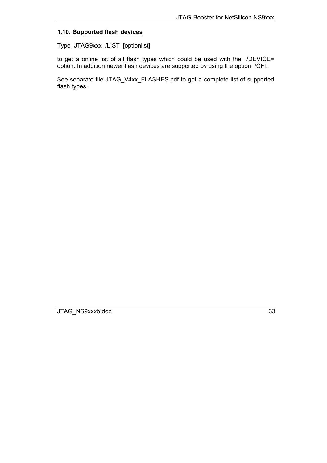# <span id="page-32-0"></span>**1.10. Supported flash devices**

Type JTAG9xxx /LIST [optionlist]

to get a online list of all flash types which could be used with the /DEVICE= option. In addition newer flash devices are supported by using the option /CFI.

See separate file JTAG\_V4xx\_FLASHES.pdf to get a complete list of supported flash types.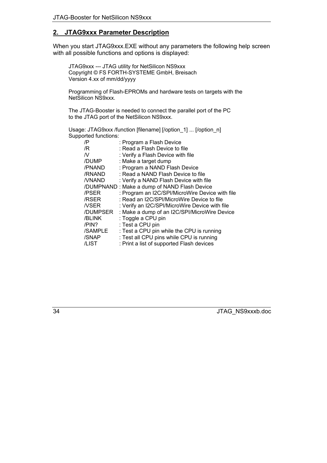# <span id="page-33-0"></span>**2. JTAG9xxx Parameter Description**

When you start JTAG9xxx.EXE without any parameters the following help screen with all possible functions and options is displayed:

JTAG9xxx --- JTAG utility for NetSilicon NS9xxx Copyright © FS FORTH-SYSTEME GmbH, Breisach Version 4.xx of mm/dd/yyyy

Programming of Flash-EPROMs and hardware tests on targets with the NetSilicon NS9xxx.

The JTAG-Booster is needed to connect the parallel port of the PC to the JTAG port of the NetSilicon NS9xxx.

Usage: JTAG9xxx /function [filename] [/option\_1] ... [/option\_n] Supported functions:

| /P           | : Program a Flash Device                        |
|--------------|-------------------------------------------------|
| /R           | : Read a Flash Device to file                   |
| N            | : Verify a Flash Device with file               |
| /DUMP        | : Make a target dump                            |
| /PNAND       | : Program a NAND Flash Device                   |
| /RNAND       | : Read a NAND Flash Device to file              |
| <b>NNAND</b> | : Verify a NAND Flash Device with file          |
|              | /DUMPNAND: Make a dump of NAND Flash Device     |
| /PSER        | : Program an I2C/SPI/MicroWire Device with file |
| /RSER        | : Read an I2C/SPI/MicroWire Device to file      |
| <b>NSER</b>  | : Verify an I2C/SPI/MicroWire Device with file  |
| /DUMPSER     | : Make a dump of an I2C/SPI/MicroWire Device    |
| /BLINK       | : Toggle a CPU pin                              |
| /PIN?        | : Test a CPU pin                                |
| /SAMPLE      | : Test a CPU pin while the CPU is running       |
| /SNAP        | : Test all CPU pins while CPU is running        |
| /LIST        | : Print a list of supported Flash devices       |
|              |                                                 |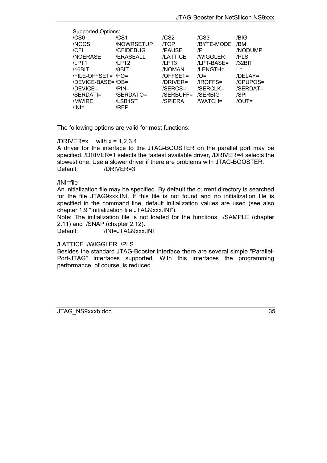| <b>Supported Options:</b> |                  |                  |                       |             |  |
|---------------------------|------------------|------------------|-----------------------|-------------|--|
| /CS <sub>0</sub>          | /CS <sub>1</sub> | /CS <sub>2</sub> | /CS3                  | /BIG        |  |
| /NOCS                     | <b>NOWRSETUP</b> | /TOP             | /BYTE-MODE            | /BM         |  |
| $/$ CFI                   | /CFIDEBUG        | /PAUSE           | /P                    | /NODUMP     |  |
| <b>NOERASE</b>            | /ERASEALL        | <b>/LATTICE</b>  | <b><i>NIGGLER</i></b> | /PLS        |  |
| $\mu$ PT1                 | /LPT2            | /LPT3            | /LPT-BASE=            | /32BIT      |  |
| $/16B$ IT                 | /8BIT            | /NOMAN           | /LENGTH=              | $l =$       |  |
| /FILE-OFFSET= /FO=        |                  | /OFFSET=         | $\overline{O}$ =      | $/DELAY=$   |  |
| /DEVICE-BASE=/DB=         |                  | /DRIVER=         | /IROFFS=              | /CPUPOS=    |  |
| /DEVICE=                  | $/PIN=$          | /SERCS=          | /SERCLK=              | $/SERDAT =$ |  |
| /SERDATI=                 | /SERDATO=        | /SERBUFF=        | /SERBIG               | /SPI        |  |
| /MWIRE                    | /LSB1ST          | /SPIERA          | /WATCH=               | $JOUT =$    |  |
| $/ \mathbf{N} $ =         | /RFP             |                  |                       |             |  |

The following options are valid for most functions:

/DRIVER= $x$  with  $x = 1,2,3,4$ A driver for the interface to the JTAG-BOOSTER on the parallel port may be specified. /DRIVER=1 selects the fastest available driver, /DRIVER=4 selects the slowest one. Use a slower driver if there are problems with JTAG-BOOSTER. Default: /DRIVER=3

#### /INI=file

An initialization file may be specified. By default the current directory is searched for the file JTAG9xxx.INI. If this file is not found and no initialization file is specified in the command line, default initialization values are used (see also chapter [1.9](#page-19-0) "Initialization file JTAG9xxx.INI").

Note: The initialization file is not loaded for the functions /SAMPLE (chapter [2.11\)](#page-58-0) and /SNAP (chapter [2.12](#page-59-0)).

Default: /INI=JTAG9xxx.INI

## /LATTICE /WIGGLER /PLS

Besides the standard JTAG-Booster interface there are several simple "Parallel-Port-JTAG" interfaces supported. With this interfaces the programming performance, of course, is reduced.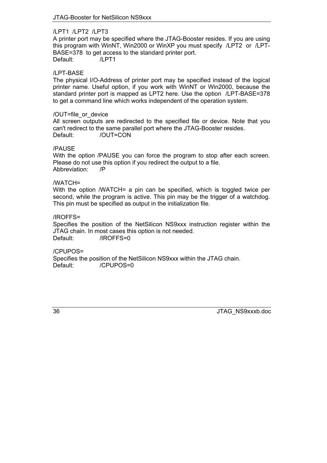## /LPT1 /LPT2 /LPT3

A printer port may be specified where the JTAG-Booster resides. If you are using this program with WinNT, Win2000 or WinXP you must specify /LPT2 or /LPT-BASE=378 to get access to the standard printer port. Default: /LPT1

## /LPT-BASE

The physical I/O-Address of printer port may be specified instead of the logical printer name. Useful option, if you work with WinNT or Win2000, because the standard printer port is mapped as LPT2 here. Use the option /LPT-BASE=378 to get a command line which works independent of the operation system.

## /OUT=file\_or\_device

All screen outputs are redirected to the specified file or device. Note that you can't redirect to the same parallel port where the JTAG-Booster resides. Default: /OUT=CON

## /PAUSE

With the option /PAUSE you can force the program to stop after each screen. Please do not use this option if you redirect the output to a file. Abbreviation: /P

## /WATCH=

With the option /WATCH= a pin can be specified, which is toggled twice per second, while the program is active. This pin may be the trigger of a watchdog. This pin must be specified as output in the initialization file.

## /IROFFS=

Specifies the position of the NetSilicon NS9xxx instruction register within the JTAG chain. In most cases this option is not needed. Default: /IROFFS=0

## /CPUPOS=

Specifies the position of the NetSilicon NS9xxx within the JTAG chain. Default: /CPUPOS=0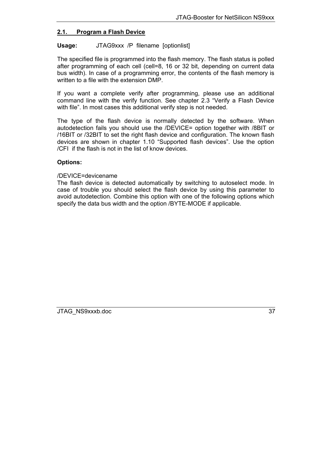# <span id="page-36-0"></span>**2.1. Program a Flash Device**

## Usage: JTAG9xxx /P filename [optionlist]

The specified file is programmed into the flash memory. The flash status is polled after programming of each cell (cell=8, 16 or 32 bit, depending on current data bus width). In case of a programming error, the contents of the flash memory is written to a file with the extension DMP.

If you want a complete verify after programming, please use an additional command line with the verify function. See chapter [2.3](#page-43-0) "[Verify a Flash Device](#page-43-0) [with file](#page-43-0)". In most cases this additional verify step is not needed.

The type of the flash device is normally detected by the software. When autodetection fails you should use the /DEVICE= option together with /8BIT or /16BIT or /32BIT to set the right flash device and configuration. The known flash devices are shown in chapter [1.10](#page-32-0) "Supported flash devices". Use the option /CFI if the flash is not in the list of know devices.

## **Options:**

## /DEVICE=devicename

The flash device is detected automatically by switching to autoselect mode. In case of trouble you should select the flash device by using this parameter to avoid autodetection. Combine this option with one of the following options which specify the data bus width and the option /BYTE-MODE if applicable.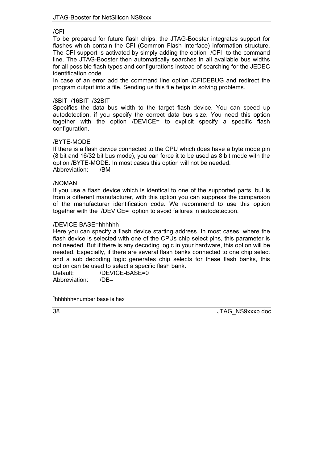## /CFI

To be prepared for future flash chips, the JTAG-Booster integrates support for flashes which contain the CFI (Common Flash Interface) information structure. The CFI support is activated by simply adding the option /CFI to the command line. The JTAG-Booster then automatically searches in all available bus widths for all possible flash types and configurations instead of searching for the JEDEC identification code.

In case of an error add the command line option /CFIDEBUG and redirect the program output into a file. Sending us this file helps in solving problems.

## /8BIT /16BIT /32BIT

Specifies the data bus width to the target flash device. You can speed up autodetection, if you specify the correct data bus size. You need this option together with the option /DEVICE= to explicit specify a specific flash configuration.

## /BYTE-MODE

If there is a flash device connected to the CPU which does have a byte mode pin (8 bit and 16/32 bit bus mode), you can force it to be used as 8 bit mode with the option /BYTE-MODE. In most cases this option will not be needed. Abbreviation: /BM

## /NOMAN

If you use a flash device which is identical to one of the supported parts, but is from a different manufacturer, with this option you can suppress the comparison of the manufacturer identification code. We recommend to use this option together with the /DEVICE= option to avoid failures in autodetection.

## /DEVICE-BASE=hhhhhh**[1](#page-37-0)**

Here you can specify a flash device starting address. In most cases, where the flash device is selected with one of the CPUs chip select pins, this parameter is not needed. But if there is any decoding logic in your hardware, this option will be needed. Especially, if there are several flash banks connected to one chip select and a sub decoding logic generates chip selects for these flash banks, this option can be used to select a specific flash bank.

Default: /DEVICE-BASE=0 Abbreviation: /DB=

<span id="page-37-0"></span>**1** hhhhhh=number base is hex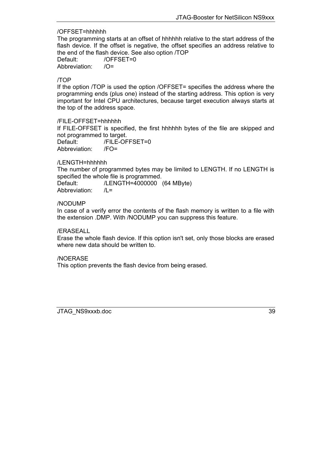## /OFFSET=hhhhhh

The programming starts at an offset of hhhhhh relative to the start address of the flash device. If the offset is negative, the offset specifies an address relative to the end of the flash device. See also option /TOP

Default: /OFFSET=0 Abbreviation: /O=

## /TOP

If the option /TOP is used the option /OFFSET= specifies the address where the programming ends (plus one) instead of the starting address. This option is very important for Intel CPU architectures, because target execution always starts at the top of the address space.

/FILE-OFFSET=hhhhhh

If FILE-OFFSET is specified, the first hhhhhh bytes of the file are skipped and not programmed to target.

Default: /FILE-OFFSET=0 Abbreviation: /FO=

## /LENGTH=hhhhhh

The number of programmed bytes may be limited to LENGTH. If no LENGTH is specified the whole file is programmed.

Default: /LENGTH=4000000 (64 MByte) Abbreviation: /L=

## /NODUMP

In case of a verify error the contents of the flash memory is written to a file with the extension .DMP. With /NODUMP you can suppress this feature.

/ERASEALL

Erase the whole flash device. If this option isn't set, only those blocks are erased where new data should be written to.

## /NOERASE

This option prevents the flash device from being erased.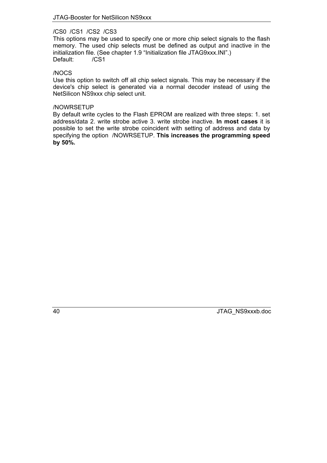## /CS0 /CS1 /CS2 /CS3

This options may be used to specify one or more chip select signals to the flash memory. The used chip selects must be defined as output and inactive in the initialization file. (See chapter 1.9 "Initialization file JTAG9xxx.INI".) Default: /CS1

## /NOCS

Use this option to switch off all chip select signals. This may be necessary if the device's chip select is generated via a normal decoder instead of using the NetSilicon NS9xxx chip select unit.

## /NOWRSETUP

By default write cycles to the Flash EPROM are realized with three steps: 1. set address/data 2. write strobe active 3. write strobe inactive. **In most cases** it is possible to set the write strobe coincident with setting of address and data by specifying the option /NOWRSETUP. **This increases the programming speed by 50%.**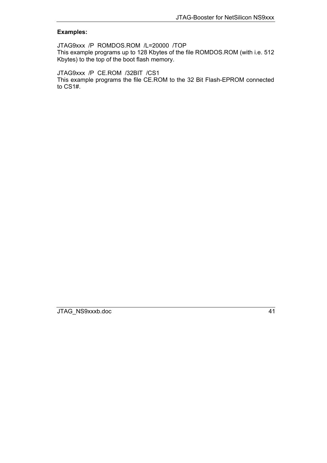## **Examples:**

JTAG9xxx /P ROMDOS.ROM /L=20000 /TOP This example programs up to 128 Kbytes of the file ROMDOS.ROM (with i.e. 512 Kbytes) to the top of the boot flash memory.

JTAG9xxx /P CE.ROM /32BIT /CS1 This example programs the file CE.ROM to the 32 Bit Flash-EPROM connected to CS1#.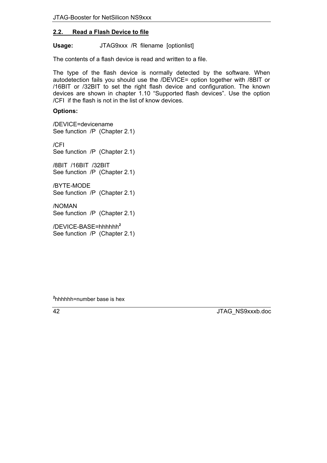# <span id="page-41-0"></span>**2.2. Read a Flash Device to file**

Usage: **JTAG9xxx /R** filename [optionlist]

The contents of a flash device is read and written to a file.

The type of the flash device is normally detected by the software. When autodetection fails you should use the /DEVICE= option together with /8BIT or /16BIT or /32BIT to set the right flash device and configuration. The known devices are shown in chapter [1.10](#page-32-0) "Supported flash devices". Use the option /CFI if the flash is not in the list of know devices.

# **Options:**

/DEVICE=devicename See function /P (Chapter [2.1\)](#page-36-0)

/CFI See function /P (Chapter [2.1\)](#page-36-0)

/8BIT /16BIT /32BIT See function /P (Chapter [2.1\)](#page-36-0)

/BYTE-MODE See function /P (Chapter [2.1\)](#page-36-0)

/NOMAN See function /P (Chapter [2.1\)](#page-36-0)

/DEVICE-BASE=hhhhhh**[2](#page-41-1)** See function /P (Chapter [2.1\)](#page-36-0)

<span id="page-41-1"></span>**2** hhhhhh=number base is hex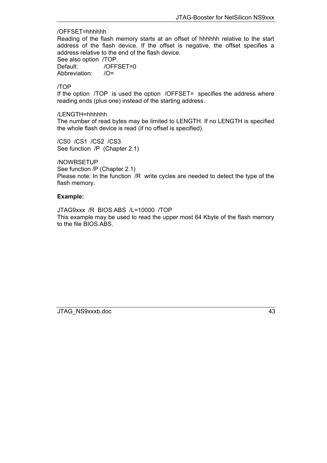## /OFFSET=hhhhhh

Reading of the flash memory starts at an offset of hhhhhh relative to the start address of the flash device. If the offset is negative, the offset specifies a address relative to the end of the flash device.

See also option /TOP. Default: /OFFSET=0

Abbreviation: /O=

# /TOP

If the option /TOP is used the option /OFFSET= specifies the address where reading ends (plus one) instead of the starting address.

/LENGTH=hhhhhh

The number of read bytes may be limited to LENGTH. If no LENGTH is specified the whole flash device is read (if no offset is specified).

/CS0 /CS1 /CS2 /CS3 See function /P (Chapter [2.1](#page-36-0))

/NOWRSETUP

See function /P (Chapter [2.1](#page-36-0)) Please note: In the function /R write cycles are needed to detect the type of the flash memory.

# **Example:**

JTAG9xxx /R BIOS.ABS /L=10000 /TOP This example may be used to read the upper most 64 Kbyte of the flash memory to the file BIOS.ABS.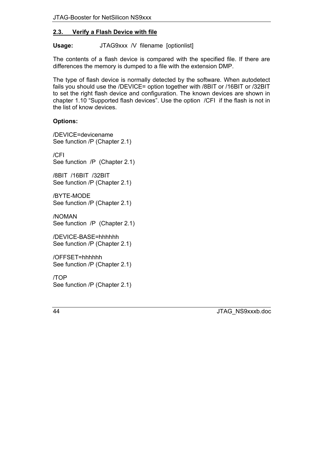# <span id="page-43-0"></span>**2.3. Verify a Flash Device with file**

Usage: JTAG9xxx /V filename [optionlist]

The contents of a flash device is compared with the specified file. If there are differences the memory is dumped to a file with the extension DMP.

The type of flash device is normally detected by the software. When autodetect fails you should use the */DEVICE=* option together with */8BIT* or */16BIT* or */32BIT* to set the right flash device and configuration. The known devices are shown in chapter [1.10](#page-32-0) "Supported flash devices". Use the option  $/CFI$  if the flash is not in the list of know devices.

# **Options:**

/DEVICE=devicename See function /P (Chapter [2.1](#page-36-0))

/CFI See function /P (Chapter [2.1\)](#page-36-0)

/8BIT /16BIT /32BIT See function /P (Chapter [2.1](#page-36-0))

/BYTE-MODE See function /P (Chapter [2.1](#page-36-0))

/NOMAN See function /P (Chapter [2.1\)](#page-36-0)

/DEVICE-BASE=hhhhhh See function /P (Chapter [2.1](#page-36-0))

/OFFSET=hhhhhh See function /P (Chapter [2.1](#page-36-0))

/TOP See function /P (Chapter [2.1](#page-36-0))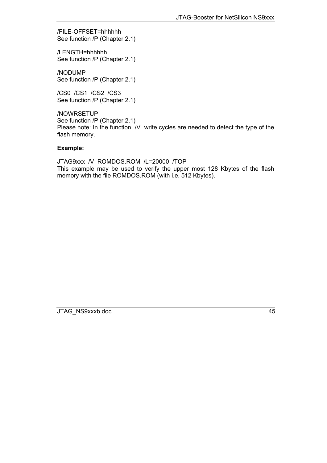/FILE-OFFSET=hhhhhh See function /P (Chapter [2.1](#page-36-0))

/LENGTH=hhhhhh See function /P (Chapter [2.1](#page-36-0))

/NODUMP See function /P (Chapter [2.1](#page-36-0))

/CS0 /CS1 /CS2 /CS3 See function /P (Chapter [2.1](#page-36-0))

/NOWRSETUP See function /P (Chapter [2.1](#page-36-0)) Please note: In the function *N* write cycles are needed to detect the type of the flash memory.

# **Example:**

JTAG9xxx /V ROMDOS.ROM /L=20000 /TOP This example may be used to verify the upper most 128 Kbytes of the flash memory with the file ROMDOS.ROM (with i.e. 512 Kbytes).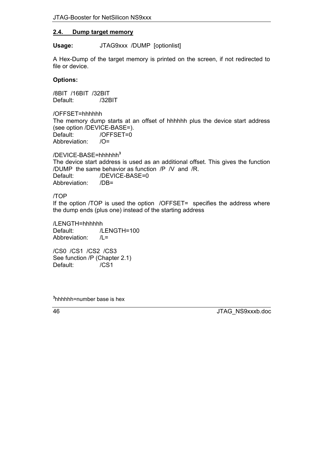# <span id="page-45-0"></span>**2.4. Dump target memory**

Usage: **JTAG9xxx /DUMP** [optionlist]

A Hex-Dump of the target memory is printed on the screen, if not redirected to file or device.

# **Options:**

/8BIT /16BIT /32BIT Default: /32BIT

/OFFSET=hhhhhh The memory dump starts at an offset of hhhhhh plus the device start address (see option /DEVICE-BASE=). Default: /OFFSET=0 Abbreviation: /O=

/DEVICE-BASE=hhhhhh**[3](#page-45-1)** The device start address is used as an additional offset. This gives the function /DUMP the same behavior as function /P /V and /R. Default: /DEVICE-BASE=0 Abbreviation: /DB=

## /TOP

If the option /TOP is used the option /OFFSET= specifies the address where the dump ends (plus one) instead of the starting address

/LENGTH=hhhhhh Default: /LENGTH=100 Abbreviation: /L=

/CS0 /CS1 /CS2 /CS3 See function /P (Chapter [2.1](#page-36-0)) Default: /CS1

<span id="page-45-1"></span>**3** hhhhhh=number base is hex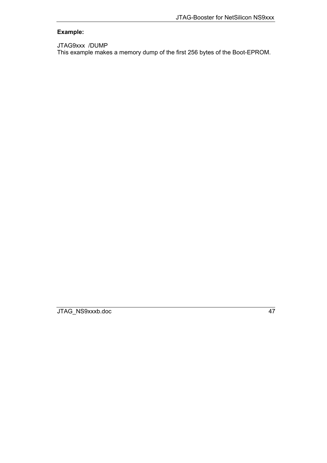# **Example:**

## JTAG9xxx /DUMP

This example makes a memory dump of the first 256 bytes of the Boot-EPROM.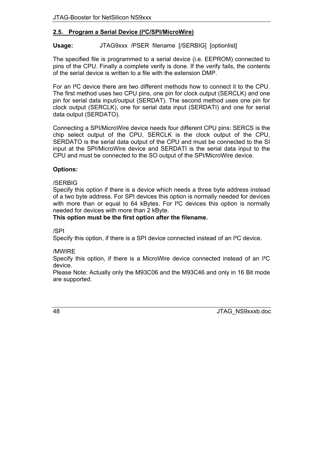# <span id="page-47-0"></span>**2.5. Program a Serial Device (I²C/SPI/MicroWire)**

# **Usage:** JTAG9xxx /PSER filename [/SERBIG] [optionlist]

The specified file is programmed to a serial device (i.e. EEPROM) connected to pins of the CPU. Finally a complete verify is done. If the verify fails, the contents of the serial device is written to a file with the extension DMP.

For an I²C device there are two different methods how to connect it to the CPU. The first method uses two CPU pins, one pin for clock output (SERCLK) and one pin for serial data input/output (SERDAT). The second method uses one pin for clock output (SERCLK), one for serial data input (SERDATI) and one for serial data output (SERDATO).

Connecting a SPI/MicroWire device needs four different CPU pins: SERCS is the chip select output of the CPU, SERCLK is the clock output of the CPU, SERDATO is the serial data output of the CPU and must be connected to the SI input at the SPI/MicroWire device and SERDATI is the serial data input to the CPU and must be connected to the SO output of the SPI/MicroWire device.

# **Options:**

# /SERBIG

Specify this option if there is a device which needs a three byte address instead of a two byte address. For SPI devices this option is normally needed for devices with more than or equal to 64 kBytes. For <sup>12</sup>C devices this option is normally needed for devices with more than 2 kByte.

## **This option must be the first option after the filename.**

/SPI

Specify this option, if there is a SPI device connected instead of an I²C device.

## /MWIRE

Specify this option, if there is a MicroWire device connected instead of an I²C device.

Please Note: Actually only the M93C06 and the M93C46 and only in 16 Bit mode are supported.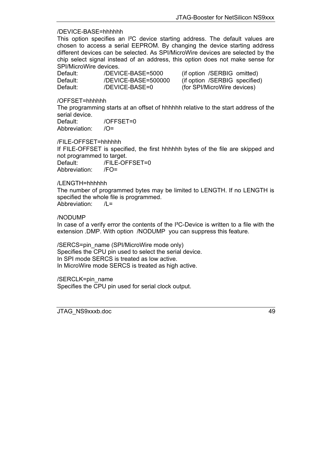## /DEVICE-BASE=hhhhhh

This option specifies an I²C device starting address. The default values are chosen to access a serial EEPROM. By changing the device starting address different devices can be selected. As SPI/MicroWire devices are selected by the chip select signal instead of an address, this option does not make sense for SPI/MicroWire devices.

| Default: | /DEVICE-BASE=5000   | (if option /SERBIG omitted)   |
|----------|---------------------|-------------------------------|
| Default: | /DEVICE-BASE=500000 | (if option /SERBIG specified) |
| Default: | /DEVICE-BASE=0      | (for SPI/MicroWire devices)   |

/OFFSET=hhhhhh

The programming starts at an offset of hhhhhh relative to the start address of the serial device. Default: /OFFSET=0

Abbreviation: /O=

/FILE-OFFSET=hhhhhh

If FILE-OFFSET is specified, the first hhhhhh bytes of the file are skipped and not programmed to target.

Default: /FILE-OFFSET=0 Abbreviation: /FO=

/LENGTH=hhhhhh

The number of programmed bytes may be limited to LENGTH. If no LENGTH is specified the whole file is programmed. Abbreviation: /L=

/NODUMP

In case of a verify error the contents of the I²C-Device is written to a file with the extension .DMP. With option /NODUMP you can suppress this feature.

/SERCS=pin\_name (SPI/MicroWire mode only) Specifies the CPU pin used to select the serial device. In SPI mode SERCS is treated as low active. In MicroWire mode SERCS is treated as high active.

/SERCLK=pin\_name Specifies the CPU pin used for serial clock output.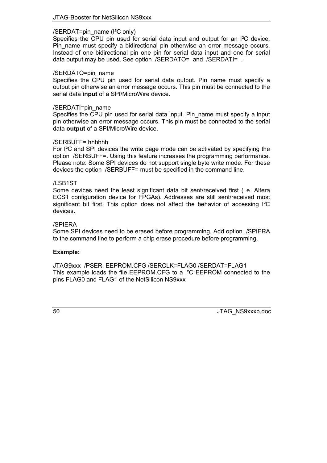## /SERDAT=pin\_name (I²C only)

Specifies the CPU pin used for serial data input and output for an I²C device. Pin\_name must specify a bidirectional pin otherwise an error message occurs. Instead of one bidirectional pin one pin for serial data input and one for serial data output may be used. See option /SERDATO= and /SERDATI= .

## /SERDATO=pin\_name

Specifies the CPU pin used for serial data output. Pin name must specify a output pin otherwise an error message occurs. This pin must be connected to the serial data **input** of a SPI/MicroWire device.

## /SERDATI=pin\_name

Specifies the CPU pin used for serial data input. Pin\_name must specify a input pin otherwise an error message occurs. This pin must be connected to the serial data **output** of a SPI/MicroWire device.

## /SERBUFF= hhhhhh

For I²C and SPI devices the write page mode can be activated by specifying the option /SERBUFF=. Using this feature increases the programming performance. Please note: Some SPI devices do not support single byte write mode. For these devices the option /SERBUFF= must be specified in the command line.

## /LSB1ST

Some devices need the least significant data bit sent/received first (i.e. Altera ECS1 configuration device for FPGAs). Addresses are still sent/received most significant bit first. This option does not affect the behavior of accessing I²C devices.

## /SPIERA

Some SPI devices need to be erased before programming. Add option /SPIERA to the command line to perform a chip erase procedure before programming.

## **Example:**

JTAG9xxx /PSER EEPROM.CFG /SERCLK=FLAG0 /SERDAT=FLAG1 This example loads the file EEPROM.CFG to a I²C EEPROM connected to the pins FLAG0 and FLAG1 of the NetSilicon NS9xxx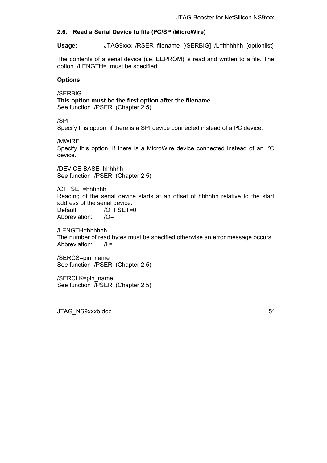# <span id="page-50-0"></span>**2.6. Read a Serial Device to file (I²C/SPI/MicroWire)**

**Usage:** JTAG9xxx /RSER filename [/SERBIG] /L=hhhhhh [optionlist]

The contents of a serial device (i.e. EEPROM) is read and written to a file. The option /LENGTH= must be specified.

## **Options:**

/SERBIG **This option must be the first option after the filename.** See function /PSER (Chapter [2.5\)](#page-55-0)

/SPI

Specify this option, if there is a SPI device connected instead of a I²C device.

/MWIRE

Specify this option, if there is a MicroWire device connected instead of an I²C device.

/DEVICE-BASE=hhhhhh See function /PSER (Chapter [2.5\)](#page-55-0)

/OFFSET=hhhhhh Reading of the serial device starts at an offset of hhhhhh relative to the start address of the serial device. Default: /OFFSET=0 Abbreviation: /O=

/LENGTH=hhhhhh The number of read bytes must be specified otherwise an error message occurs. Abbreviation: /L=

/SERCS=pin\_name See function /PSER (Chapter [2.5\)](#page-55-0)

/SERCLK=pin\_name See function /PSER (Chapter [2.5\)](#page-55-0)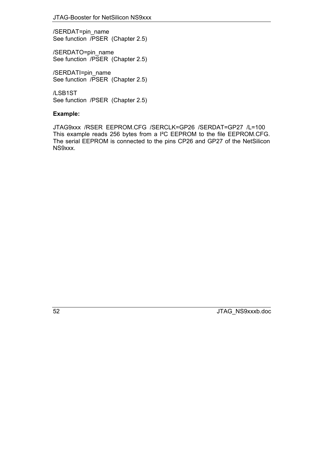/SERDAT=pin\_name See function /PSER (Chapter [2.5\)](#page-55-0)

/SERDATO=pin\_name See function /PSER (Chapter [2.5\)](#page-55-0)

/SERDATI=pin\_name See function /PSER (Chapter [2.5\)](#page-55-0)

/LSB1ST See function /PSER (Chapter [2.5\)](#page-55-0)

# **Example:**

JTAG9xxx /RSER EEPROM.CFG /SERCLK=GP26 /SERDAT=GP27 /L=100 This example reads 256 bytes from a I²C EEPROM to the file EEPROM.CFG. The serial EEPROM is connected to the pins CP26 and GP27 of the NetSilicon NS9xxx.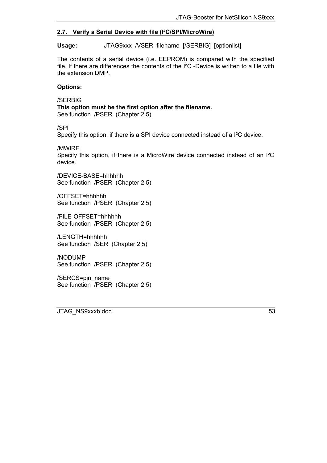# <span id="page-52-0"></span>**2.7. Verify a Serial Device with file (I²C/SPI/MicroWire)**

**Usage:** JTAG9xxx /VSER filename [/SERBIG] [optionlist]

The contents of a serial device (i.e. EEPROM) is compared with the specified file. If there are differences the contents of the I²C -Device is written to a file with the extension DMP.

## **Options:**

/SERBIG **This option must be the first option after the filename.** See function /PSER (Chapter [2.5\)](#page-55-0)

/SPI

Specify this option, if there is a SPI device connected instead of a I²C device.

/MWIRE

Specify this option, if there is a MicroWire device connected instead of an I²C device.

/DEVICE-BASE=hhhhhh See function /PSER (Chapter [2.5\)](#page-55-0)

/OFFSET=hhhhhh See function /PSER (Chapter [2.5\)](#page-55-0)

/FILE-OFFSET=hhhhhh See function /PSER (Chapter [2.5\)](#page-55-0)

/LENGTH=hhhhhh See function /SER (Chapter [2.5](#page-55-0))

/NODUMP See function /PSER (Chapter [2.5\)](#page-55-0)

/SERCS=pin\_name See function /PSER (Chapter [2.5\)](#page-55-0)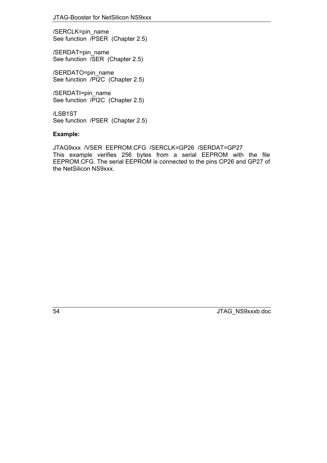/SERCLK=pin\_name See function /PSER (Chapter [2.5\)](#page-55-0)

/SERDAT=pin\_name See function /SER (Chapter [2.5\)](#page-55-0)

/SERDATO=pin\_name See function /PI2C (Chapter [2.5\)](#page-55-0)

/SERDATI=pin\_name See function /PI2C (Chapter [2.5\)](#page-55-0)

/LSB1ST See function /PSER (Chapter [2.5\)](#page-55-0)

## **Example:**

JTAG9xxx /VSER EEPROM.CFG /SERCLK=GP26 /SERDAT=GP27 This example verifies 256 bytes from a serial EEPROM with the file EEPROM.CFG. The serial EEPROM is connected to the pins CP26 and GP27 of the NetSilicon NS9xxx.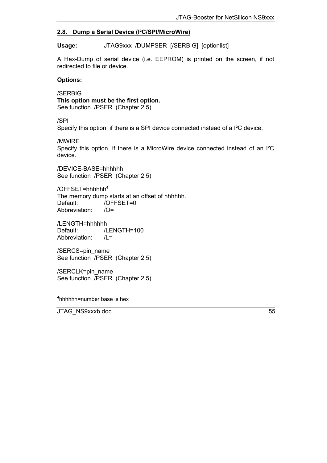# <span id="page-54-0"></span>**2.8. Dump a Serial Device (I²C/SPI/MicroWire)**

**Usage:** JTAG9xxx /DUMPSER [/SERBIG] [optionlist]

A Hex-Dump of serial device (i.e. EEPROM) is printed on the screen, if not redirected to file or device.

## **Options:**

/SERBIG **This option must be the first option.** See function /PSER (Chapter [2.5\)](#page-55-0)

/SPI

Specify this option, if there is a SPI device connected instead of a I²C device.

/MWIRE

Specify this option, if there is a MicroWire device connected instead of an I²C device.

/DEVICE-BASE=hhhhhh See function /PSER (Chapter [2.5\)](#page-55-0)

/OFFSET=hhhhhh**[4](#page-54-1)** The memory dump starts at an offset of hhhhhh. Default: /OFFSET=0 Abbreviation: /O=

/LENGTH=hhhhhh<br>Default: /L /LENGTH=100 Abbreviation: /L=

/SERCS=pin\_name See function /PSER (Chapter [2.5\)](#page-55-0)

/SERCLK=pin\_name See function /PSER (Chapter [2.5\)](#page-55-0)

<span id="page-54-1"></span>**4** hhhhhh=number base is hex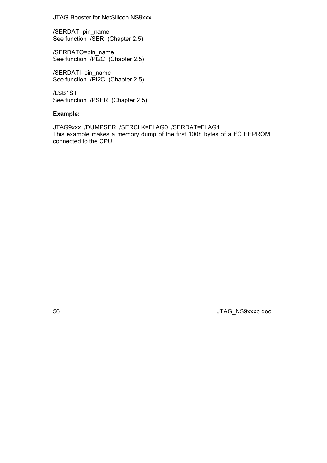<span id="page-55-0"></span>/SERDAT=pin\_name See function /SER (Chapter [2.5\)](#page-55-0)

/SERDATO=pin\_name See function /PI2C (Chapter [2.5\)](#page-55-0)

/SERDATI=pin\_name See function /PI2C (Chapter [2.5\)](#page-55-0)

/LSB1ST See function /PSER (Chapter [2.5\)](#page-55-0)

# **Example:**

JTAG9xxx /DUMPSER /SERCLK=FLAG0 /SERDAT=FLAG1 This example makes a memory dump of the first 100h bytes of a I²C EEPROM connected to the CPU.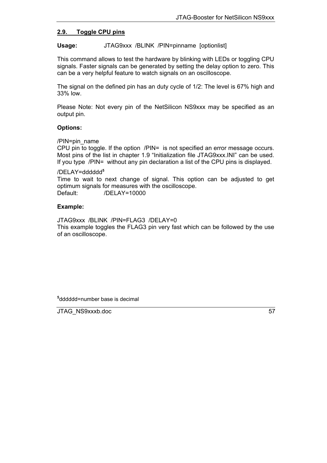## <span id="page-56-0"></span>**2.9. Toggle CPU pins**

**Usage:** JTAG9xxx /BLINK /PIN=pinname [optionlist]

This command allows to test the hardware by blinking with LEDs or toggling CPU signals. Faster signals can be generated by setting the delay option to zero. This can be a very helpful feature to watch signals on an oscilloscope.

The signal on the defined pin has an duty cycle of 1/2: The level is 67% high and 33% low.

Please Note: Not every pin of the NetSilicon NS9xxx may be specified as an output pin.

## **Options:**

/PIN=pin\_name

CPU pin to toggle. If the option /PIN= is not specified an error message occurs. Most pins of the list in chapter 1.9 "Initialization file JTAG9xxx.INI" can be used. If you type /PIN= without any pin declaration a list of the CPU pins is displayed.

#### /DELAY=dddddd**[5](#page-56-1)**

Time to wait to next change of signal. This option can be adjusted to get optimum signals for measures with the oscilloscope. Default: /DELAY=10000

## **Example:**

JTAG9xxx /BLINK /PIN=FLAG3 /DELAY=0 This example toggles the FLAG3 pin very fast which can be followed by the use of an oscilloscope.

<span id="page-56-1"></span>**5** dddddd=number base is decimal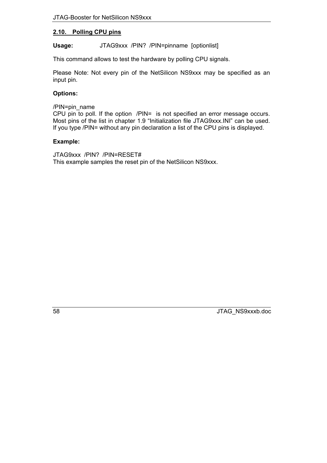# <span id="page-57-0"></span>**2.10. Polling CPU pins**

**Usage:** JTAG9xxx /PIN? /PIN=pinname [optionlist]

This command allows to test the hardware by polling CPU signals.

Please Note: Not every pin of the NetSilicon NS9xxx may be specified as an input pin.

# **Options:**

/PIN=pin\_name

CPU pin to poll. If the option /PIN= is not specified an error message occurs. Most pins of the list in chapter 1.9 "Initialization file JTAG9xxx.INI" can be used. If you type /PIN= without any pin declaration a list of the CPU pins is displayed.

## **Example:**

JTAG9xxx /PIN? /PIN=RESET# This example samples the reset pin of the NetSilicon NS9xxx.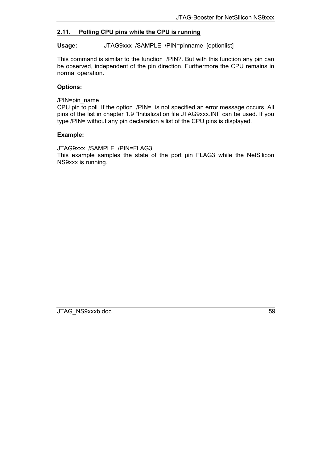# <span id="page-58-0"></span>**2.11. Polling CPU pins while the CPU is running**

## **Usage:** JTAG9xxx /SAMPLE /PIN=pinname [optionlist]

This command is similar to the function /PIN?. But with this function any pin can be observed, independent of the pin direction. Furthermore the CPU remains in normal operation.

## **Options:**

/PIN=pin\_name

CPU pin to poll. If the option /PIN= is not specified an error message occurs. All pins of the list in chapter 1.9 "Initialization file JTAG9xxx.INI" can be used. If you type /PIN= without any pin declaration a list of the CPU pins is displayed.

## **Example:**

JTAG9xxx /SAMPLE /PIN=FLAG3 This example samples the state of the port pin FLAG3 while the NetSilicon NS9xxx is running.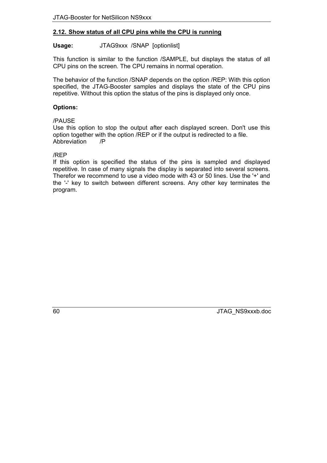# <span id="page-59-0"></span>**2.12. Show status of all CPU pins while the CPU is running**

## Usage: **JTAG9xxx /SNAP** [optionlist]

This function is similar to the function /SAMPLE, but displays the status of all CPU pins on the screen. The CPU remains in normal operation.

The behavior of the function /SNAP depends on the option /REP: With this option specified, the JTAG-Booster samples and displays the state of the CPU pins repetitive. Without this option the status of the pins is displayed only once.

## **Options:**

## /PAUSE

Use this option to stop the output after each displayed screen. Don't use this option together with the option /REP or if the output is redirected to a file. Abbreviation /P

## /REP

If this option is specified the status of the pins is sampled and displayed repetitive. In case of many signals the display is separated into several screens. Therefor we recommend to use a video mode with 43 or 50 lines. Use the '+' and the '-' key to switch between different screens. Any other key terminates the program.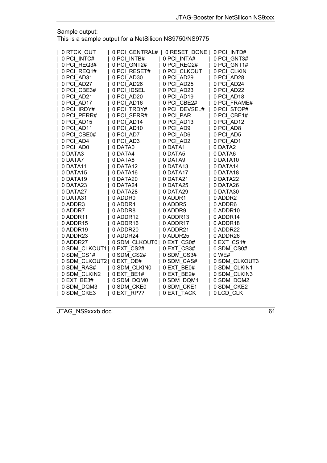Sample output:

This is a sample output for a NetSilicon NS9750/NS9775

| 0 RTCK OUT    |                | 0 PCI CENTRAL#   0 RESET DONE | 0 PCI INTD#   |
|---------------|----------------|-------------------------------|---------------|
| 0 PCI INTC#   | 0 PCI INTB#    | 0 PCI INTA#                   | 0 PCI GNT3#   |
| 0 PCI REQ3#   | 0 PCI GNT2#    | 0 PCI REQ2#                   | 0 PCI GNT1#   |
| 0 PCI REQ1#   | 0 PCI RESET#   | 0 PCI CLKOUT                  | 0 PCI CLKIN   |
| 0 PCI AD31    | 0 PCI AD30     | 0 PCI AD29                    | 0 PCI AD28    |
| 0 PCI AD27    | 0 PCI AD26     | 0 PCI AD25                    | 0 PCI AD24    |
| 0 PCI CBE3#   | 0 PCI IDSEL    | 0 PCI AD23                    | 0 PCI AD22    |
| 0 PCI AD21    | 0 PCI AD20     | 0 PCI AD19                    | 0 PCI AD18    |
| 0 PCI AD17    | 0 PCI AD16     | 0 PCI CBE2#                   | 0 PCI FRAME#  |
| 0 PCI IRDY#   | 0 PCI TRDY#    | 0 PCI DEVSEL#                 | 0 PCI STOP#   |
| 0 PCI PERR#   | 0 PCI SERR#    | 0 PCI PAR                     | 0 PCI CBE1#   |
| 0 PCI AD15    | 0 PCI AD14     | 0 PCI AD13                    | 0 PCI AD12    |
| 0 PCI AD11    | 0 PCI AD10     | 0 PCI AD9                     | 0 PCI AD8     |
| 0 PCI CBE0#   | 0 PCI AD7      | 0 PCI AD6                     | 0 PCI AD5     |
| 0 PCI AD4     | 0 PCI AD3      | 0 PCI AD2                     | 0 PCI AD1     |
| 0 PCI AD0     | 0 DATA0        | 0 DATA1                       | 0 DATA2       |
| 0 DATA3       | 0 DATA4        | 0 DATA5                       | 0 DATA6       |
| 0 DATA7       | 0 DATA8        | 0 DATA9                       | 0 DATA10      |
| 0 DATA11      | 0 DATA12       | 0 DATA13                      | 0 DATA14      |
| 0 DATA15      | 0 DATA16       | 0 DATA17                      | 0 DATA18      |
| 0 DATA19      | 0 DATA20       | 0 DATA21                      | 0 DATA22      |
| 0 DATA23      | 0 DATA24       | 0 DATA25                      | 0 DATA26      |
| 0 DATA27      | 0 DATA28       | 0 DATA29                      | 0 DATA30      |
| 0 DATA31      | 0 ADDR0        | 0 ADDR1                       | 0 ADDR2       |
| 0 ADDR3       | 0 ADDR4        | 0 ADDR5                       | 0 ADDR6       |
| 0 ADDR7       | 0 ADDR8        | 0 ADDR9                       | 0 ADDR10      |
| 0 ADDR11      | 0 ADDR12       | 0 ADDR13                      | 0 ADDR14      |
| 0 ADDR15      | 0 ADDR16       | 0 ADDR17                      | 0 ADDR18      |
| 0 ADDR19      | 0 ADDR20       | 0 ADDR21                      | 0 ADDR22      |
| 0 ADDR23      | 0 ADDR24       | 0 ADDR25                      | 0 ADDR26      |
| 0 ADDR27      | 0 SDM CLKOUT01 | 0 EXT CS0#                    | 0 EXT CS1#    |
| 0 SDM CLKOUT1 | 0 EXT CS2#     | 0 EXT CS3#                    | 0 SDM CS0#    |
| 0 SDM CS1#    | 0 SDM CS2#     | 0 SDM CS3#                    | 0 WE#         |
| 0 SDM CLKOUT2 | 0 EXT_OE#      | 0 SDM CAS#                    | 0 SDM CLKOUT3 |
| 0 SDM RAS#    | 0 SDM CLKIN0   | 0 EXT BE0#                    | 0 SDM CLKIN1  |
| 0 SDM CLKIN2  | 0 EXT BE1#     | 0 EXT BE2#                    | 0 SDM CLKIN3  |
| 0 EXT BE3#    | 0 SDM DQM0     | 0 SDM DQM1                    | 0 SDM DQM2    |
| 0 SDM DQM3    | 0 SDM_CKE0     | 0 SDM_CKE1                    | 0 SDM CKE2    |
| 0 SDM CKE3    | 0 EXT RP??     | 0 EXT TACK                    | 0 LCD CLK     |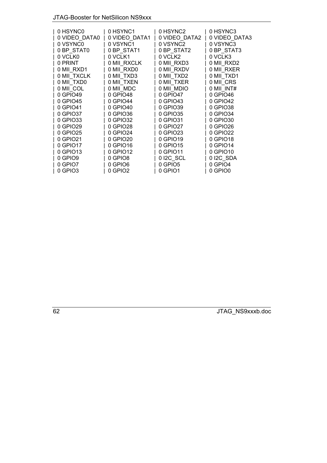# JTAG-Booster for NetSilicon NS9xxx

| 0 HSYNC0      | 0 HSYNC1      | 0 HSYNC2      | 0 HSYNC3      |
|---------------|---------------|---------------|---------------|
| 0 VIDEO DATA0 | 0 VIDEO DATA1 | 0 VIDEO DATA2 | 0 VIDEO DATA3 |
| 0 VSYNC0      | 0 VSYNC1      | 0 VSYNC2      | 0 VSYNC3      |
| 0 BP STAT0    | 0 BP STAT1    | 0 BP STAT2    | 0 BP STAT3    |
| 0 VCLK0       | 0 VCLK1       | 0 VCLK2       | 0 VCLK3       |
| 0 PRINT       | 0 MII RXCLK   | 0 MII RXD3    | 0 MII RXD2    |
| 0 MII RXD1    | 0 MII RXD0    | 0 MII RXDV    | 0 MII RXER    |
| 0 MII_TXCLK   | 0 MII TXD3    | 0 MII TXD2    | 0 MII TXD1    |
| 0 MII TXD0    | 0 MII TXEN    | 0 MII TXER    | 0 MII CRS     |
| 0 MII COL     | 0 MII MDC     | 0 MII MDIO    | 0 MII INT#    |
| 0 GPIO49      | 0 GPIO48      | 0 GPIO47      | 0 GPIO46      |
| 0 GPIO45      | 0 GPIO44      | 0 GPIO43      | 0 GPIO42      |
| 0 GPIO41      | 0 GPIO40      | 0 GPIO39      | 0 GPIO38      |
| 0 GPIO37      | 0 GPIO36      | 0 GPIO35      | 0 GPIO34      |
| 0 GPIO33      | 0 GPIO32      | 0 GPIO31      | 0 GPIO30      |
| 0 GPIO29      | 0 GPIO28      | 0 GPIO27      | 0 GPIO26      |
| 0 GPIO25      | 0 GPIO24      | 0 GPIO23      | 0 GPIO22      |
| 0 GPIO21      | 0 GPIO20      | 0 GPIO19      | 0 GPIO18      |
| 0 GPIO17      | 0 GPIO16      | 0 GPIO15      | 0 GPIO14      |
| 0 GPIO13      | 0 GPIO12      | 0 GPIO11      | 0 GPIO10      |
| 0 GPIO9       | 0 GPIO8       | 0 I2C_SCL     | 0 I2C SDA     |
| 0 GPIO7       | 0 GPIO6       | 0 GPIO5       | 0 GPIO4       |
| 0 GPIO3       | 0 GPIO2       | 0 GPIO1       |               |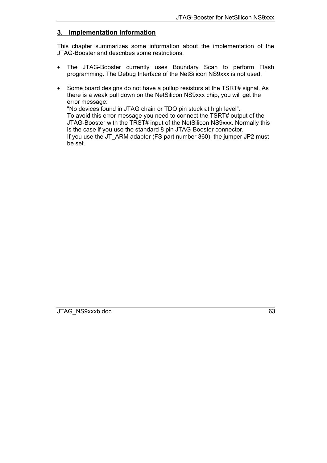# <span id="page-62-0"></span>**3. Implementation Information**

This chapter summarizes some information about the implementation of the JTAG-Booster and describes some restrictions.

- The JTAG-Booster currently uses Boundary Scan to perform Flash programming. The Debug Interface of the NetSilicon NS9xxx is not used.
- Some board designs do not have a pullup resistors at the TSRT# signal. As there is a weak pull down on the NetSilicon NS9xxx chip, you will get the error message: "No devices found in JTAG chain or TDO pin stuck at high level". To avoid this error message you need to connect the TSRT# output of the JTAG-Booster with the TRST# input of the NetSilicon NS9xxx. Normally this is the case if you use the standard 8 pin JTAG-Booster connector. If you use the JT\_ARM adapter (FS part number 360), the jumper JP2 must be set.

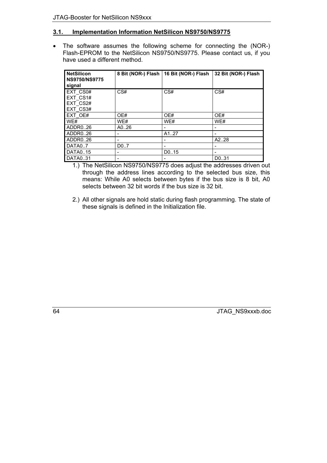# <span id="page-63-0"></span>**3.1. Implementation Information NetSilicon NS9750/NS9775**

• The software assumes the following scheme for connecting the (NOR-) Flash-EPROM to the NetSilicon NS9750/NS9775. Please contact us, if you have used a different method.

| <b>NetSilicon</b><br><b>NS9750/NS9775</b><br>signal |      | 8 Bit (NOR-) Flash   16 Bit (NOR-) Flash | 32 Bit (NOR-) Flash |
|-----------------------------------------------------|------|------------------------------------------|---------------------|
| EXT CS0#<br>EXT CS1#<br>EXT CS2#<br>EXT CS3#        | CS#  | CS#                                      | CS#                 |
| EXT OE#                                             | OE#  | OE#                                      | OE#                 |
| WE#                                                 | WE#  | WE#                                      | WE#                 |
| ADDR026                                             | A026 |                                          |                     |
| ADDR026                                             |      | A127                                     |                     |
| ADDR026                                             |      |                                          | A2.28               |
| DATA07                                              | D0.7 |                                          |                     |
| DATA015                                             |      | D0.15                                    |                     |
| DATA031                                             |      |                                          | D031                |

- 1.) The NetSilicon NS9750/NS9775 does adjust the addresses driven out through the address lines according to the selected bus size, this means: While A0 selects between bytes if the bus size is 8 bit, A0 selects between 32 bit words if the bus size is 32 bit.
- 2.) All other signals are hold static during flash programming. The state of these signals is defined in the Initialization file.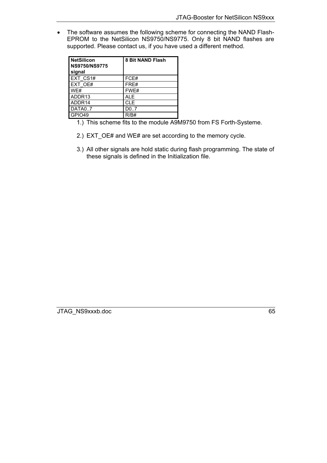• The software assumes the following scheme for connecting the NAND Flash-EPROM to the NetSilicon NS9750/NS9775. Only 8 bit NAND flashes are supported. Please contact us, if you have used a different method.

| <b>NetSilicon</b><br><b>NS9750/NS9775</b><br>signal | 8 Bit NAND Flash  |
|-----------------------------------------------------|-------------------|
| <b>EXT CS1#</b>                                     | FCE#              |
| EXT OE#                                             | FRE#              |
| WE#                                                 | FWE#              |
| ADDR <sub>13</sub>                                  | ALE               |
| ADDR14                                              | <b>CLE</b>        |
| DATA07                                              | D <sub>0</sub> .7 |
| GPIO49                                              | R/R#              |

- 1.) This scheme fits to the module A9M9750 from FS Forth-Systeme.
- 2.) EXT\_OE# and WE# are set according to the memory cycle.
- 3.) All other signals are hold static during flash programming. The state of these signals is defined in the Initialization file.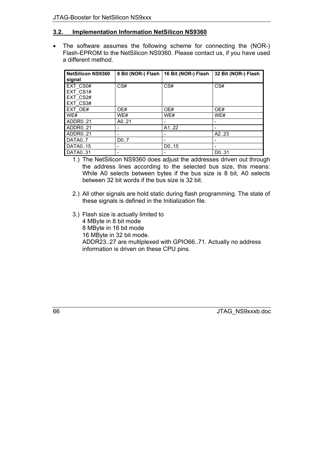# <span id="page-65-0"></span>**3.2. Implementation Information NetSilicon NS9360**

• The software assumes the following scheme for connecting the (NOR-) Flash-EPROM to the NetSilicon NS9360. Please contact us, if you have used a different method.

| <b>NetSilicon NS9360</b><br>signal           |             | 8 Bit (NOR-) Flash   16 Bit (NOR-) Flash | 32 Bit (NOR-) Flash |
|----------------------------------------------|-------------|------------------------------------------|---------------------|
| EXT CS0#<br>EXT CS1#<br>EXT CS2#<br>EXT CS3# | CS#         | CS#                                      | CS#                 |
| EXT OE#                                      | OE#         | OE#                                      | OE#                 |
| WE#<br>ADDR021                               | WE#<br>A021 | WE#                                      | WE#<br>-            |
| ADDR021<br>ADDR021                           |             | A122                                     | A2.23               |
| DATA07<br>DATA015                            | D0.7        | D0.15                                    |                     |
| DATA031                                      |             |                                          | D031                |

- 1.) The NetSilicon NS9360 does adjust the addresses driven out through the address lines according to the selected bus size, this means: While A0 selects between bytes if the bus size is 8 bit, A0 selects between 32 bit words if the bus size is 32 bit.
- 2.) All other signals are hold static during flash programming. The state of these signals is defined in the Initialization file.
- 3.) Flash size is actually limited to 4 MByte in 8 bit mode 8 MByte in 16 bit mode 16 MByte in 32 bit mode. ADDR23..27 are multiplexed with GPIO66..71. Actually no address information is driven on these CPU pins.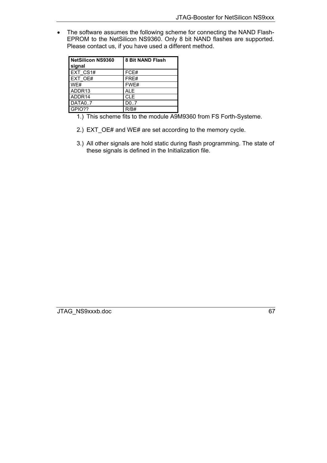• The software assumes the following scheme for connecting the NAND Flash-EPROM to the NetSilicon NS9360. Only 8 bit NAND flashes are supported. Please contact us, if you have used a different method.

| NetSilicon NS9360<br>signal | <b>8 Bit NAND Flash</b> |
|-----------------------------|-------------------------|
| EXT CS1#                    | FCE#                    |
| EXT OE#                     | FRE#                    |
| WE#                         | FWE#                    |
| ADDR <sub>13</sub>          | <b>ALE</b>              |
| ADDR14                      | <b>CLE</b>              |
| DATA07                      | D0.7                    |
| GPIO??                      | R/R#                    |

- 1.) This scheme fits to the module A9M9360 from FS Forth-Systeme.
- 2.) EXT\_OE# and WE# are set according to the memory cycle.
- 3.) All other signals are hold static during flash programming. The state of these signals is defined in the Initialization file.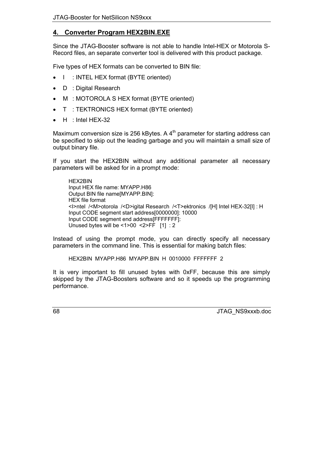# <span id="page-67-0"></span>**4. Converter Program HEX2BIN.EXE**

Since the JTAG-Booster software is not able to handle Intel-HEX or Motorola S-Record files, an separate converter tool is delivered with this product package.

Five types of HEX formats can be converted to BIN file:

- I : INTEL HEX format (BYTE oriented)
- D : Digital Research
- M : MOTOROLA S HEX format (BYTE oriented)
- T : TEKTRONICS HEX format (BYTE oriented)
- $\bullet$  H : Intel HEX-32

Maximum conversion size is 256 kBytes. A  $4<sup>th</sup>$  parameter for starting address can be specified to skip out the leading garbage and you will maintain a small size of output binary file.

If you start the HEX2BIN without any additional parameter all necessary parameters will be asked for in a prompt mode:

HEX2BIN Input HEX file name: MYAPP.H86 Output BIN file name[MYAPP.BIN]: HEX file format <I>ntel /<M>otorola /<D>igital Research /<T>ektronics /[H] Intel HEX-32[I] : H Input CODE segment start address[0000000]: 10000 Input CODE segment end address[FFFFFFF]: Unused bytes will be <1>00 <2>FF [1] : 2

Instead of using the prompt mode, you can directly specify all necessary parameters in the command line. This is essential for making batch files:

HEX2BIN MYAPP.H86 MYAPP.BIN H 0010000 FFFFFFF 2

It is very important to fill unused bytes with 0xFF, because this are simply skipped by the JTAG-Boosters software and so it speeds up the programming performance.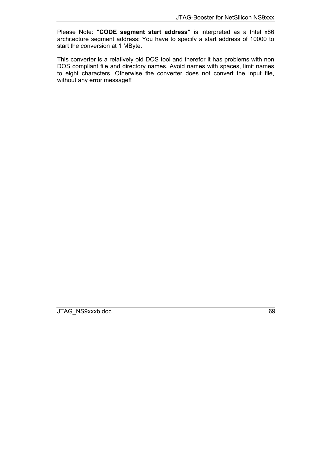Please Note: **"CODE segment start address"** is interpreted as a Intel x86 architecture segment address: You have to specify a start address of 10000 to start the conversion at 1 MByte.

This converter is a relatively old DOS tool and therefor it has problems with non DOS compliant file and directory names. Avoid names with spaces, limit names to eight characters. Otherwise the converter does not convert the input file, without any error message!!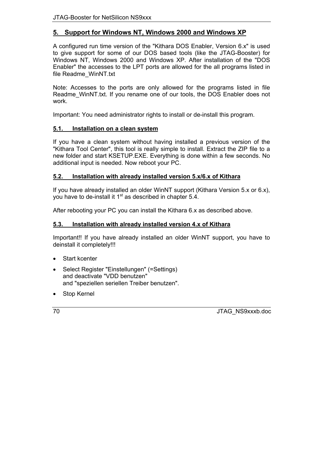# <span id="page-69-0"></span>**5. Support for Windows NT, Windows 2000 and Windows XP**

A configured run time version of the "Kithara DOS Enabler, Version 6.x" is used to give support for some of our DOS based tools (like the JTAG-Booster) for Windows NT, Windows 2000 and Windows XP. After installation of the "DOS Enabler" the accesses to the LPT ports are allowed for the all programs listed in file Readme\_WinNT.txt

Note: Accesses to the ports are only allowed for the programs listed in file Readme\_WinNT.txt. If you rename one of our tools, the DOS Enabler does not work.

Important: You need administrator rights to install or de-install this program.

# <span id="page-69-1"></span>**5.1. Installation on a clean system**

If you have a clean system without having installed a previous version of the "Kithara Tool Center", this tool is really simple to install. Extract the ZIP file to a new folder and start KSETUP.EXE. Everything is done within a few seconds. No additional input is needed. Now reboot your PC.

# <span id="page-69-2"></span>**5.2. Installation with already installed version 5.x/6.x of Kithara**

If you have already installed an older WinNT support (Kithara Version 5.x or 6.x), you have to de-install it  $1<sup>st</sup>$  as described in chapter [5.4](#page-70-0).

After rebooting your PC you can install the Kithara 6.x as described above.

# <span id="page-69-3"></span>**5.3. Installation with already installed version 4.x of Kithara**

Important!! If you have already installed an older WinNT support, you have to deinstall it completely!!!

- Start kcenter
- Select Register "Einstellungen" (=Settings) and deactivate "VDD benutzen" and "speziellen seriellen Treiber benutzen".
- Stop Kernel